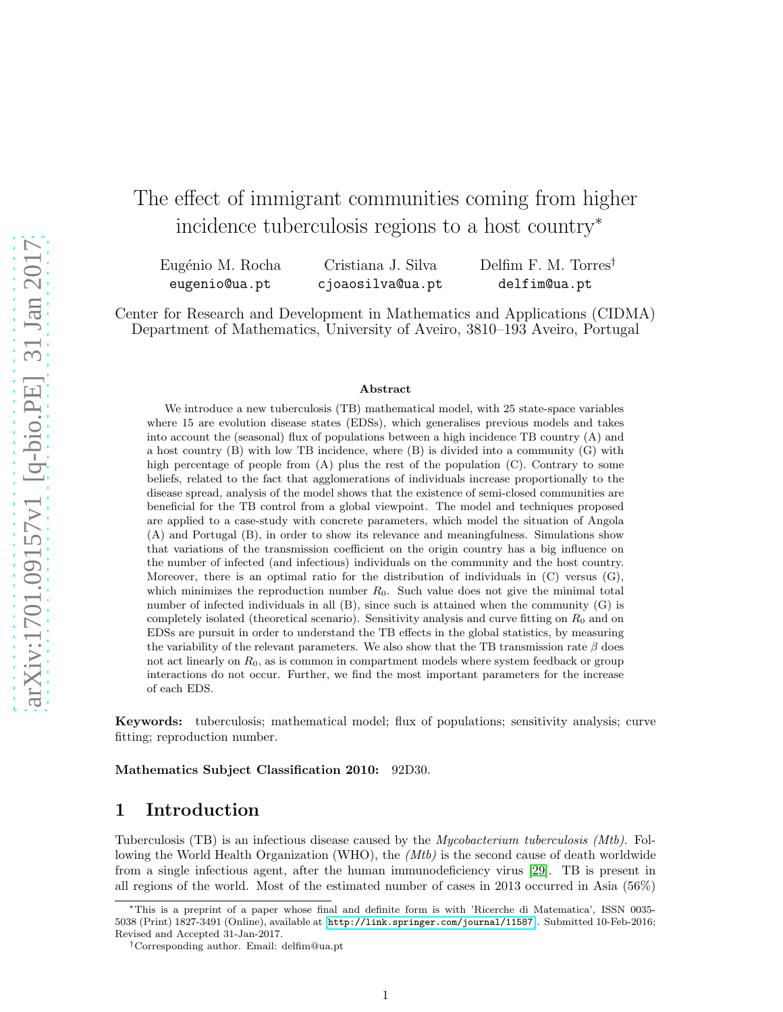# The effect of immigrant communities coming from higher incidence tuberculosis regions to a host country<sup>∗</sup>

Eugénio M. Rocha eugenio@ua.pt Cristiana J. Silva cjoaosilva@ua.pt Delfim F. M. Torres† delfim@ua.pt

Center for Research and Development in Mathematics and Applications (CIDMA) Department of Mathematics, University of Aveiro, 3810–193 Aveiro, Portugal

#### Abstract

We introduce a new tuberculosis (TB) mathematical model, with 25 state-space variables where 15 are evolution disease states (EDSs), which generalises previous models and takes into account the (seasonal) flux of populations between a high incidence TB country (A) and a host country (B) with low TB incidence, where (B) is divided into a community (G) with high percentage of people from (A) plus the rest of the population (C). Contrary to some beliefs, related to the fact that agglomerations of individuals increase proportionally to the disease spread, analysis of the model shows that the existence of semi-closed communities are beneficial for the TB control from a global viewpoint. The model and techniques proposed are applied to a case-study with concrete parameters, which model the situation of Angola (A) and Portugal (B), in order to show its relevance and meaningfulness. Simulations show that variations of the transmission coefficient on the origin country has a big influence on the number of infected (and infectious) individuals on the community and the host country. Moreover, there is an optimal ratio for the distribution of individuals in  $(C)$  versus  $(G)$ , which minimizes the reproduction number  $R_0$ . Such value does not give the minimal total number of infected individuals in all (B), since such is attained when the community (G) is completely isolated (theoretical scenario). Sensitivity analysis and curve fitting on  $R_0$  and on EDSs are pursuit in order to understand the TB effects in the global statistics, by measuring the variability of the relevant parameters. We also show that the TB transmission rate  $\beta$  does not act linearly on  $R_0$ , as is common in compartment models where system feedback or group interactions do not occur. Further, we find the most important parameters for the increase of each EDS.

Keywords: tuberculosis; mathematical model; flux of populations; sensitivity analysis; curve fitting; reproduction number.

Mathematics Subject Classification 2010: 92D30.

## 1 Introduction

Tuberculosis (TB) is an infectious disease caused by the Mycobacterium tuberculosis (Mtb). Following the World Health Organization (WHO), the (Mtb) is the second cause of death worldwide from a single infectious agent, after the human immunodeficiency virus [\[29\]](#page-17-0). TB is present in all regions of the world. Most of the estimated number of cases in 2013 occurred in Asia (56%)

<sup>∗</sup>This is a preprint of a paper whose final and definite form is with 'Ricerche di Matematica', ISSN 0035- 5038 (Print) 1827-3491 (Online), available at [<http://link.springer.com/journal/11587>]. Submitted 10-Feb-2016; Revised and Accepted 31-Jan-2017.

<sup>†</sup>Corresponding author. Email: delfim@ua.pt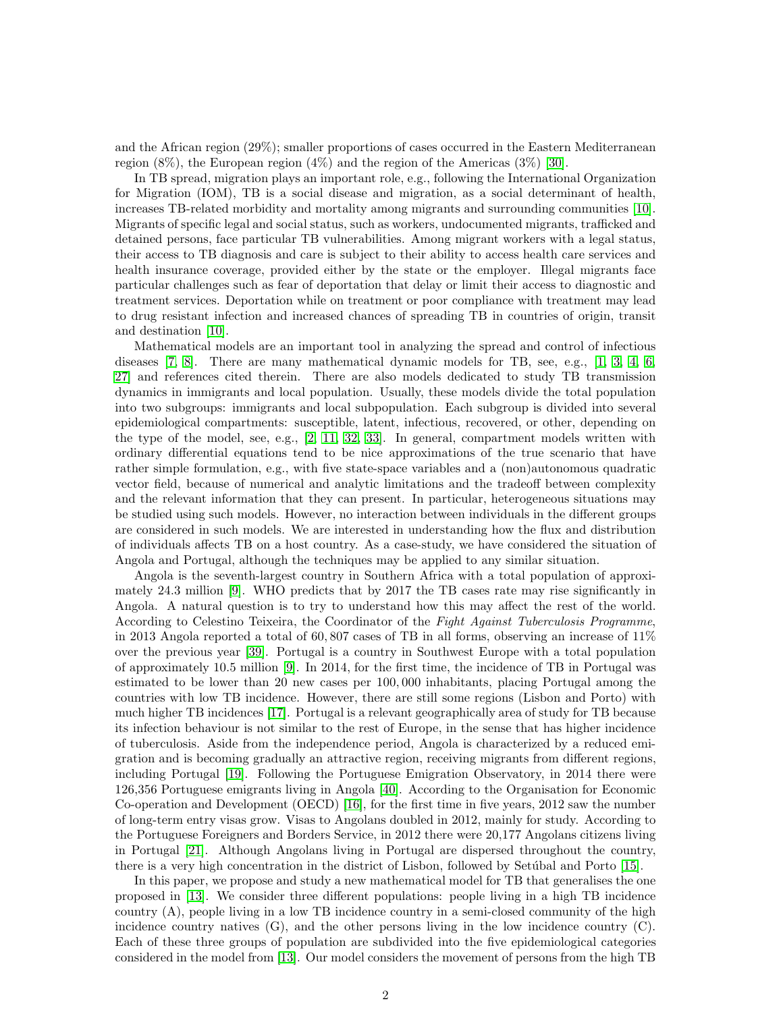and the African region (29%); smaller proportions of cases occurred in the Eastern Mediterranean region  $(8\%)$ , the European region  $(4\%)$  and the region of the Americas  $(3\%)$  [\[30\]](#page-17-1).

In TB spread, migration plays an important role, e.g., following the International Organization for Migration (IOM), TB is a social disease and migration, as a social determinant of health, increases TB-related morbidity and mortality among migrants and surrounding communities [\[10\]](#page-16-0). Migrants of specific legal and social status, such as workers, undocumented migrants, trafficked and detained persons, face particular TB vulnerabilities. Among migrant workers with a legal status, their access to TB diagnosis and care is subject to their ability to access health care services and health insurance coverage, provided either by the state or the employer. Illegal migrants face particular challenges such as fear of deportation that delay or limit their access to diagnostic and treatment services. Deportation while on treatment or poor compliance with treatment may lead to drug resistant infection and increased chances of spreading TB in countries of origin, transit and destination [\[10\]](#page-16-0).

Mathematical models are an important tool in analyzing the spread and control of infectious diseases [\[7,](#page-16-1) [8\]](#page-16-2). There are many mathematical dynamic models for TB, see, e.g., [\[1,](#page-16-3) [3,](#page-16-4) [4,](#page-16-5) [6,](#page-16-6) [27\]](#page-17-2) and references cited therein. There are also models dedicated to study TB transmission dynamics in immigrants and local population. Usually, these models divide the total population into two subgroups: immigrants and local subpopulation. Each subgroup is divided into several epidemiological compartments: susceptible, latent, infectious, recovered, or other, depending on the type of the model, see, e.g., [\[2,](#page-16-7) [11,](#page-16-8) [32,](#page-17-3) [33\]](#page-17-4). In general, compartment models written with ordinary differential equations tend to be nice approximations of the true scenario that have rather simple formulation, e.g., with five state-space variables and a (non)autonomous quadratic vector field, because of numerical and analytic limitations and the tradeoff between complexity and the relevant information that they can present. In particular, heterogeneous situations may be studied using such models. However, no interaction between individuals in the different groups are considered in such models. We are interested in understanding how the flux and distribution of individuals affects TB on a host country. As a case-study, we have considered the situation of Angola and Portugal, although the techniques may be applied to any similar situation.

Angola is the seventh-largest country in Southern Africa with a total population of approximately 24.3 million [\[9\]](#page-16-9). WHO predicts that by 2017 the TB cases rate may rise significantly in Angola. A natural question is to try to understand how this may affect the rest of the world. According to Celestino Teixeira, the Coordinator of the Fight Against Tuberculosis Programme, in 2013 Angola reported a total of 60, 807 cases of TB in all forms, observing an increase of 11% over the previous year [\[39\]](#page-17-5). Portugal is a country in Southwest Europe with a total population of approximately 10.5 million [\[9\]](#page-16-9). In 2014, for the first time, the incidence of TB in Portugal was estimated to be lower than 20 new cases per 100, 000 inhabitants, placing Portugal among the countries with low TB incidence. However, there are still some regions (Lisbon and Porto) with much higher TB incidences [\[17\]](#page-17-6). Portugal is a relevant geographically area of study for TB because its infection behaviour is not similar to the rest of Europe, in the sense that has higher incidence of tuberculosis. Aside from the independence period, Angola is characterized by a reduced emigration and is becoming gradually an attractive region, receiving migrants from different regions, including Portugal [\[19\]](#page-17-7). Following the Portuguese Emigration Observatory, in 2014 there were 126,356 Portuguese emigrants living in Angola [\[40\]](#page-17-8). According to the Organisation for Economic Co-operation and Development (OECD) [\[16\]](#page-17-9), for the first time in five years, 2012 saw the number of long-term entry visas grow. Visas to Angolans doubled in 2012, mainly for study. According to the Portuguese Foreigners and Borders Service, in 2012 there were 20,177 Angolans citizens living in Portugal [\[21\]](#page-17-10). Although Angolans living in Portugal are dispersed throughout the country, there is a very high concentration in the district of Lisbon, followed by Setúbal and Porto [\[15\]](#page-17-11).

In this paper, we propose and study a new mathematical model for TB that generalises the one proposed in [\[13\]](#page-16-10). We consider three different populations: people living in a high TB incidence country (A), people living in a low TB incidence country in a semi-closed community of the high incidence country natives (G), and the other persons living in the low incidence country (C). Each of these three groups of population are subdivided into the five epidemiological categories considered in the model from [\[13\]](#page-16-10). Our model considers the movement of persons from the high TB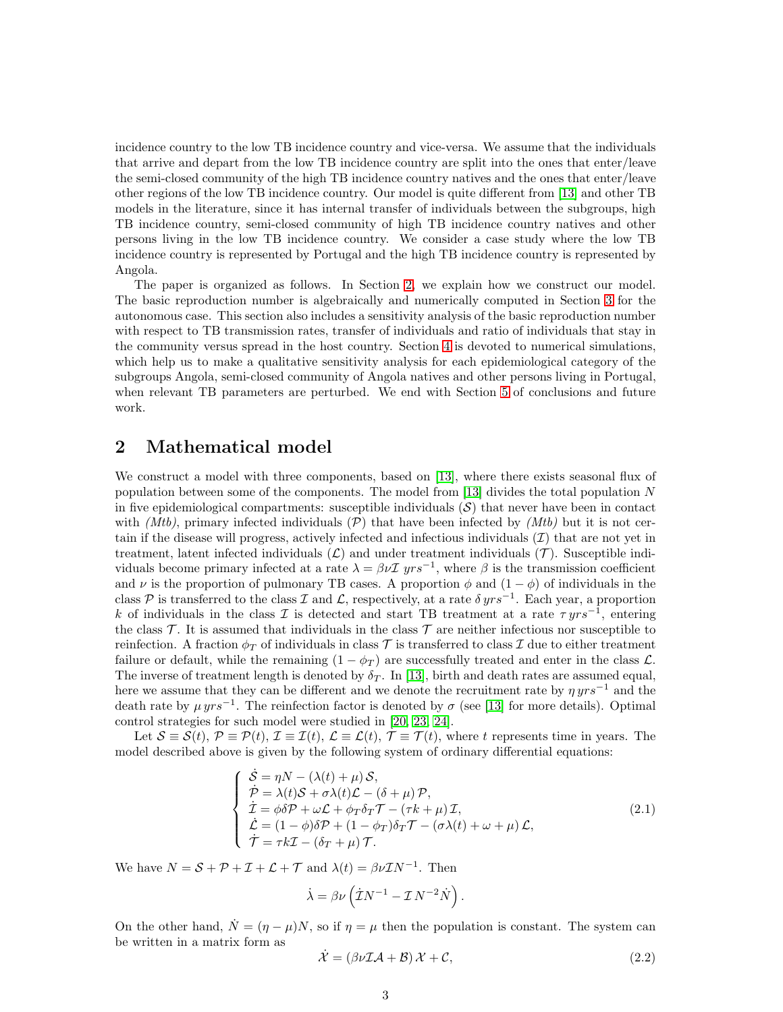incidence country to the low TB incidence country and vice-versa. We assume that the individuals that arrive and depart from the low TB incidence country are split into the ones that enter/leave the semi-closed community of the high TB incidence country natives and the ones that enter/leave other regions of the low TB incidence country. Our model is quite different from [\[13\]](#page-16-10) and other TB models in the literature, since it has internal transfer of individuals between the subgroups, high TB incidence country, semi-closed community of high TB incidence country natives and other persons living in the low TB incidence country. We consider a case study where the low TB incidence country is represented by Portugal and the high TB incidence country is represented by Angola.

The paper is organized as follows. In Section [2,](#page-2-0) we explain how we construct our model. The basic reproduction number is algebraically and numerically computed in Section [3](#page-5-0) for the autonomous case. This section also includes a sensitivity analysis of the basic reproduction number with respect to TB transmission rates, transfer of individuals and ratio of individuals that stay in the community versus spread in the host country. Section [4](#page-13-0) is devoted to numerical simulations, which help us to make a qualitative sensitivity analysis for each epidemiological category of the subgroups Angola, semi-closed community of Angola natives and other persons living in Portugal, when relevant TB parameters are perturbed. We end with Section [5](#page-15-0) of conclusions and future work.

### <span id="page-2-0"></span>2 Mathematical model

We construct a model with three components, based on [\[13\]](#page-16-10), where there exists seasonal flux of population between some of the components. The model from [\[13\]](#page-16-10) divides the total population N in five epidemiological compartments: susceptible individuals  $(S)$  that never have been in contact with (Mtb), primary infected individuals (P) that have been infected by (Mtb) but it is not certain if the disease will progress, actively infected and infectious individuals  $(\mathcal{I})$  that are not yet in treatment, latent infected individuals  $(\mathcal{L})$  and under treatment individuals  $(\mathcal{T})$ . Susceptible individuals become primary infected at a rate  $\lambda = \beta \nu \mathcal{I}$  yrs<sup>-1</sup>, where  $\beta$  is the transmission coefficient and  $\nu$  is the proportion of pulmonary TB cases. A proportion  $\phi$  and  $(1 - \phi)$  of individuals in the class P is transferred to the class I and L, respectively, at a rate  $\delta yrs^{-1}$ . Each year, a proportion k of individuals in the class  $\mathcal I$  is detected and start TB treatment at a rate  $\tau yrs^{-1}$ , entering the class T. It is assumed that individuals in the class T are neither infectious nor susceptible to reinfection. A fraction  $\phi_T$  of individuals in class T is transferred to class I due to either treatment failure or default, while the remaining  $(1 - \phi_T)$  are successfully treated and enter in the class  $\mathcal{L}$ . The inverse of treatment length is denoted by  $\delta_T$ . In [\[13\]](#page-16-10), birth and death rates are assumed equal, here we assume that they can be different and we denote the recruitment rate by  $\eta yrs^{-1}$  and the death rate by  $\mu yrs^{-1}$ . The reinfection factor is denoted by  $\sigma$  (see [\[13\]](#page-16-10) for more details). Optimal control strategies for such model were studied in [\[20,](#page-17-12) [23,](#page-17-13) [24\]](#page-17-14).

Let  $S \equiv S(t)$ ,  $\mathcal{P} \equiv \mathcal{P}(t)$ ,  $\mathcal{I} \equiv \mathcal{I}(t)$ ,  $\mathcal{L} \equiv \mathcal{L}(t)$ ,  $\mathcal{T} \equiv \mathcal{T}(t)$ , where t represents time in years. The model described above is given by the following system of ordinary differential equations:

<span id="page-2-1"></span>
$$
\begin{cases}\n\dot{\mathcal{S}} = \eta N - (\lambda(t) + \mu) \mathcal{S}, \\
\dot{\mathcal{P}} = \lambda(t) \mathcal{S} + \sigma \lambda(t) \mathcal{L} - (\delta + \mu) \mathcal{P}, \\
\dot{\mathcal{I}} = \phi \delta \mathcal{P} + \omega \mathcal{L} + \phi \tau \delta \tau \mathcal{T} - (\tau k + \mu) \mathcal{I}, \\
\dot{\mathcal{L}} = (1 - \phi) \delta \mathcal{P} + (1 - \phi \tau) \delta \tau \mathcal{T} - (\sigma \lambda(t) + \omega + \mu) \mathcal{L}, \\
\dot{\mathcal{T}} = \tau k \mathcal{I} - (\delta \tau + \mu) \mathcal{T}.\n\end{cases} (2.1)
$$

We have  $N = S + P + I + \mathcal{L} + \mathcal{T}$  and  $\lambda(t) = \beta \nu I N^{-1}$ . Then

$$
\dot{\lambda} = \beta \nu \left( \dot{\mathcal{I}} N^{-1} - \mathcal{I} \, N^{-2} \dot{N} \right).
$$

On the other hand,  $\dot{N} = (\eta - \mu)N$ , so if  $\eta = \mu$  then the population is constant. The system can be written in a matrix form as

$$
\dot{\mathcal{X}} = (\beta \nu \mathcal{IA} + \mathcal{B}) \mathcal{X} + \mathcal{C},\tag{2.2}
$$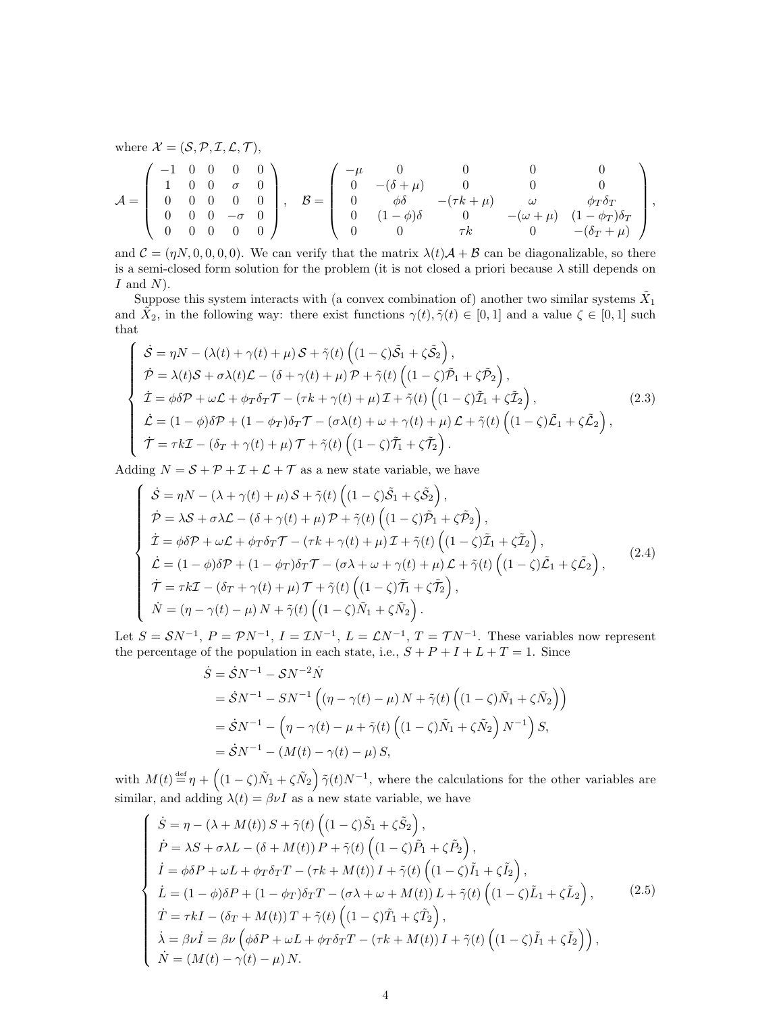where  $\mathcal{X} = (\mathcal{S}, \mathcal{P}, \mathcal{I}, \mathcal{L}, \mathcal{T})$ ,

$$
\mathcal{A} = \left( \begin{array}{cccc} -1 & 0 & 0 & 0 & 0 \\ 1 & 0 & 0 & \sigma & 0 \\ 0 & 0 & 0 & 0 & 0 \\ 0 & 0 & 0 & -\sigma & 0 \\ 0 & 0 & 0 & 0 & 0 \end{array} \right), \quad \mathcal{B} = \left( \begin{array}{cccc} -\mu & 0 & 0 & 0 & 0 \\ 0 & -(\delta + \mu) & 0 & 0 & 0 \\ 0 & \phi\delta & -(\tau k + \mu) & \omega & \phi_T\delta_T \\ 0 & (1 - \phi)\delta & 0 & -(\omega + \mu) & (1 - \phi_T)\delta_T \\ 0 & 0 & \tau k & 0 & -(\delta_T + \mu) \end{array} \right),
$$

and  $\mathcal{C} = (\eta N, 0, 0, 0, 0)$ . We can verify that the matrix  $\lambda(t)\mathcal{A} + \mathcal{B}$  can be diagonalizable, so there is a semi-closed form solution for the problem (it is not closed a priori because  $\lambda$  still depends on  $I$  and  $N$ ).

Suppose this system interacts with (a convex combination of) another two similar systems  $\tilde{X}_1$ and  $\tilde{X}_2$ , in the following way: there exist functions  $\gamma(t), \tilde{\gamma}(t) \in [0, 1]$  and a value  $\zeta \in [0, 1]$  such that

$$
\begin{cases}\n\dot{S} = \eta N - (\lambda(t) + \gamma(t) + \mu) S + \tilde{\gamma}(t) \left( (1 - \zeta) \tilde{S}_1 + \zeta \tilde{S}_2 \right), \\
\dot{P} = \lambda(t) S + \sigma \lambda(t) \mathcal{L} - (\delta + \gamma(t) + \mu) P + \tilde{\gamma}(t) \left( (1 - \zeta) \tilde{P}_1 + \zeta \tilde{P}_2 \right), \\
\dot{I} = \phi \delta P + \omega \mathcal{L} + \phi_T \delta_T T - (\tau k + \gamma(t) + \mu) \mathcal{I} + \tilde{\gamma}(t) \left( (1 - \zeta) \tilde{I}_1 + \zeta \tilde{I}_2 \right), \\
\dot{L} = (1 - \phi) \delta P + (1 - \phi_T) \delta_T T - (\sigma \lambda(t) + \omega + \gamma(t) + \mu) \mathcal{L} + \tilde{\gamma}(t) \left( (1 - \zeta) \tilde{L}_1 + \zeta \tilde{L}_2 \right), \\
\dot{\mathcal{T}} = \tau k \mathcal{I} - (\delta_T + \gamma(t) + \mu) \mathcal{T} + \tilde{\gamma}(t) \left( (1 - \zeta) \tilde{I}_1 + \zeta \tilde{I}_2 \right).\n\end{cases} (2.3)
$$

Adding  $N = S + P + I + \mathcal{L} + \mathcal{T}$  as a new state variable, we have

$$
\begin{cases}\n\dot{\mathcal{S}} = \eta N - (\lambda + \gamma(t) + \mu) \mathcal{S} + \tilde{\gamma}(t) \left( (1 - \zeta) \tilde{\mathcal{S}}_1 + \zeta \tilde{\mathcal{S}}_2 \right), \\
\dot{\mathcal{P}} = \lambda \mathcal{S} + \sigma \lambda \mathcal{L} - (\delta + \gamma(t) + \mu) \mathcal{P} + \tilde{\gamma}(t) \left( (1 - \zeta) \tilde{\mathcal{P}}_1 + \zeta \tilde{\mathcal{P}}_2 \right), \\
\dot{\mathcal{I}} = \phi \delta \mathcal{P} + \omega \mathcal{L} + \phi_T \delta_T \mathcal{T} - (\tau k + \gamma(t) + \mu) \mathcal{I} + \tilde{\gamma}(t) \left( (1 - \zeta) \tilde{\mathcal{I}}_1 + \zeta \tilde{\mathcal{I}}_2 \right), \\
\dot{\mathcal{L}} = (1 - \phi) \delta \mathcal{P} + (1 - \phi_T) \delta_T \mathcal{T} - (\sigma \lambda + \omega + \gamma(t) + \mu) \mathcal{L} + \tilde{\gamma}(t) \left( (1 - \zeta) \tilde{\mathcal{L}}_1 + \zeta \tilde{\mathcal{L}}_2 \right), \\
\dot{\mathcal{T}} = \tau k \mathcal{I} - (\delta_T + \gamma(t) + \mu) \mathcal{T} + \tilde{\gamma}(t) \left( (1 - \zeta) \tilde{\mathcal{T}}_1 + \zeta \tilde{\mathcal{T}}_2 \right), \\
\dot{N} = (\eta - \gamma(t) - \mu) N + \tilde{\gamma}(t) \left( (1 - \zeta) \tilde{N}_1 + \zeta \tilde{N}_2 \right).\n\end{cases} (2.4)
$$

Let  $S = SN^{-1}$ ,  $P = \mathcal{P}N^{-1}$ ,  $I = \mathcal{I}N^{-1}$ ,  $L = \mathcal{L}N^{-1}$ ,  $T = \mathcal{T}N^{-1}$ . These variables now represent the percentage of the population in each state, i.e.,  $S + P + I + L + T = 1$ . Since

$$
\dot{S} = \dot{S}N^{-1} - SN^{-2}\dot{N}
$$
  
=  $\dot{S}N^{-1} - SN^{-1} \left( (\eta - \gamma(t) - \mu) N + \tilde{\gamma}(t) \left( (1 - \zeta)\tilde{N}_1 + \zeta\tilde{N}_2 \right) \right)$   
=  $\dot{S}N^{-1} - \left( \eta - \gamma(t) - \mu + \tilde{\gamma}(t) \left( (1 - \zeta)\tilde{N}_1 + \zeta\tilde{N}_2 \right) N^{-1} \right) S$ ,  
=  $\dot{S}N^{-1} - (M(t) - \gamma(t) - \mu) S$ ,

with  $M(t) \stackrel{\text{def}}{=} \eta + \left( (1 - \zeta)\tilde{N}_1 + \zeta \tilde{N}_2 \right) \tilde{\gamma}(t) N^{-1}$ , where the calculations for the other variables are similar, and adding  $\lambda(t) = \beta \nu I$  as a new state variable, we have

$$
\begin{cases}\n\dot{S} = \eta - (\lambda + M(t)) S + \tilde{\gamma}(t) \left( (1 - \zeta) \tilde{S}_1 + \zeta \tilde{S}_2 \right), \\
\dot{P} = \lambda S + \sigma \lambda L - (\delta + M(t)) P + \tilde{\gamma}(t) \left( (1 - \zeta) \tilde{P}_1 + \zeta \tilde{P}_2 \right), \\
\dot{I} = \phi \delta P + \omega L + \phi_T \delta_T T - (\tau k + M(t)) I + \tilde{\gamma}(t) \left( (1 - \zeta) \tilde{I}_1 + \zeta \tilde{I}_2 \right), \\
\dot{L} = (1 - \phi) \delta P + (1 - \phi_T) \delta_T T - (\sigma \lambda + \omega + M(t)) L + \tilde{\gamma}(t) \left( (1 - \zeta) \tilde{L}_1 + \zeta \tilde{L}_2 \right), \\
\dot{T} = \tau k I - (\delta_T + M(t)) T + \tilde{\gamma}(t) \left( (1 - \zeta) \tilde{T}_1 + \zeta \tilde{T}_2 \right), \\
\dot{\lambda} = \beta \nu \dot{I} = \beta \nu \left( \phi \delta P + \omega L + \phi_T \delta_T T - (\tau k + M(t)) I + \tilde{\gamma}(t) \left( (1 - \zeta) \tilde{I}_1 + \zeta \tilde{I}_2 \right) \right), \\
\dot{N} = (M(t) - \gamma(t) - \mu) N.\n\end{cases} (2.5)
$$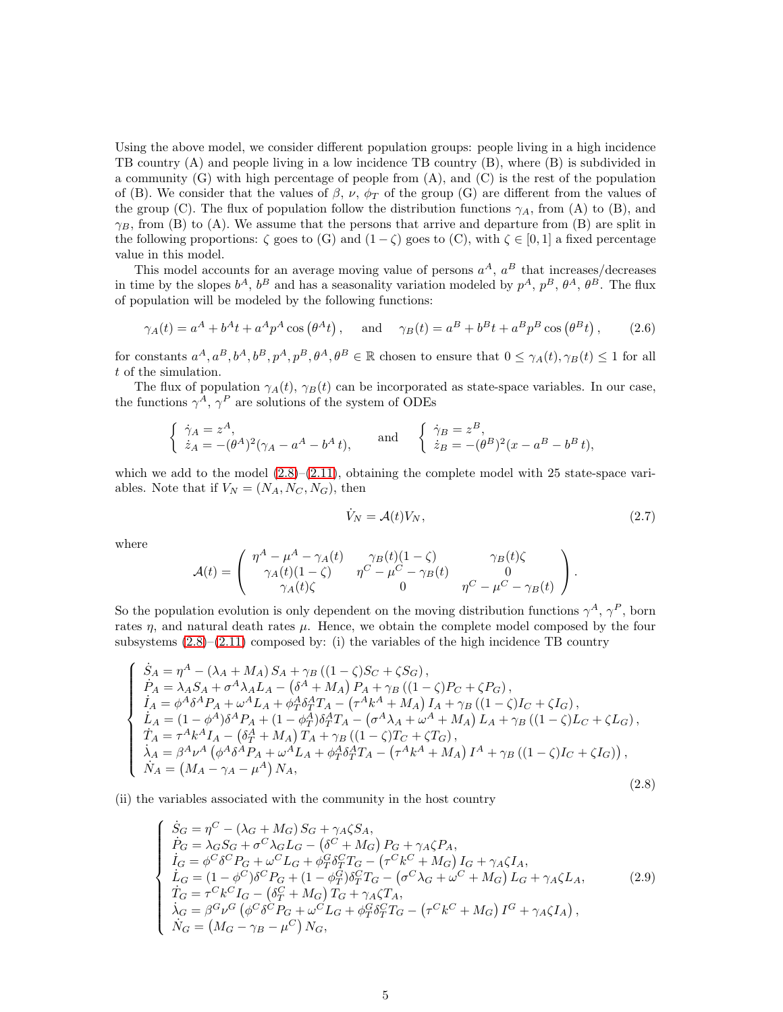Using the above model, we consider different population groups: people living in a high incidence TB country (A) and people living in a low incidence TB country (B), where (B) is subdivided in a community  $(G)$  with high percentage of people from  $(A)$ , and  $(C)$  is the rest of the population of (B). We consider that the values of  $\beta$ ,  $\nu$ ,  $\phi_T$  of the group (G) are different from the values of the group (C). The flux of population follow the distribution functions  $\gamma_A$ , from (A) to (B), and  $\gamma_B$ , from (B) to (A). We assume that the persons that arrive and departure from (B) are split in the following proportions:  $\zeta$  goes to  $(G)$  and  $(1 - \zeta)$  goes to  $(C)$ , with  $\zeta \in [0, 1]$  a fixed percentage value in this model.

This model accounts for an average moving value of persons  $a^A$ ,  $a^B$  that increases/decreases in time by the slopes  $b^A$ ,  $b^B$  and has a seasonality variation modeled by  $p^A$ ,  $p^B$ ,  $\theta^A$ ,  $\theta^B$ . The flux of population will be modeled by the following functions:

<span id="page-4-1"></span>
$$
\gamma_A(t) = a^A + b^A t + a^A p^A \cos(\theta^A t)
$$
, and  $\gamma_B(t) = a^B + b^B t + a^B p^B \cos(\theta^B t)$ , (2.6)

for constants  $a^A, a^B, b^A, b^B, p^A, p^B, \theta^A, \theta^B \in \mathbb{R}$  chosen to ensure that  $0 \leq \gamma_A(t), \gamma_B(t) \leq 1$  for all t of the simulation.

The flux of population  $\gamma_A(t)$ ,  $\gamma_B(t)$  can be incorporated as state-space variables. In our case, the functions  $\gamma^A$ ,  $\gamma^P$  are solutions of the system of ODEs

$$
\begin{cases} \dot{\gamma}_A = z^A, \\ \dot{z}_A = -(\theta^A)^2 (\gamma_A - a^A - b^A t), \end{cases} \text{ and } \begin{cases} \dot{\gamma}_B = z^B, \\ \dot{z}_B = -(\theta^B)^2 (x - a^B - b^B t), \end{cases}
$$

which we add to the model  $(2.8)$ – $(2.11)$ , obtaining the complete model with 25 state-space variables. Note that if  $V_N = (N_A, N_C, N_G)$ , then

$$
\dot{V}_N = \mathcal{A}(t)V_N,\tag{2.7}
$$

where

 $\sqrt{ }$ 

 $\begin{matrix} \phantom{-} \\ \phantom{-} \end{matrix}$ 

 $\begin{array}{c} \end{array}$ 

$$
\mathcal{A}(t) = \begin{pmatrix} \eta^A - \mu^A - \gamma_A(t) & \gamma_B(t)(1-\zeta) & \gamma_B(t)\zeta \\ \gamma_A(t)(1-\zeta) & \eta^C - \mu^C - \gamma_B(t) & 0 \\ \gamma_A(t)\zeta & 0 & \eta^C - \mu^C - \gamma_B(t) \end{pmatrix}.
$$

So the population evolution is only dependent on the moving distribution functions  $\gamma^A$ ,  $\gamma^P$ , born rates  $\eta$ , and natural death rates  $\mu$ . Hence, we obtain the complete model composed by the four subsystems  $(2.8)$ – $(2.11)$  composed by: (i) the variables of the high incidence TB country

<span id="page-4-0"></span>
$$
\begin{cases}\n\dot{S}_{A} = \eta^{A} - (\lambda_{A} + M_{A}) S_{A} + \gamma_{B} ((1 - \zeta)S_{C} + \zeta S_{G}), \\
\dot{P}_{A} = \lambda_{A} S_{A} + \sigma^{A} \lambda_{A} L_{A} - (\delta^{A} + M_{A}) P_{A} + \gamma_{B} ((1 - \zeta)P_{C} + \zeta P_{G}), \\
\dot{I}_{A} = \phi^{A} \delta^{A} P_{A} + \omega^{A} L_{A} + \phi_{T}^{A} \delta_{T}^{A} T_{A} - (\tau^{A} k^{A} + M_{A}) I_{A} + \gamma_{B} ((1 - \zeta)I_{C} + \zeta I_{G}), \\
\dot{L}_{A} = (1 - \phi^{A}) \delta^{A} P_{A} + (1 - \phi_{T}^{A}) \delta_{T}^{A} T_{A} - (\sigma^{A} \lambda_{A} + \omega^{A} + M_{A}) L_{A} + \gamma_{B} ((1 - \zeta)I_{C} + \zeta L_{G}), \\
\dot{T}_{A} = \tau^{A} k^{A} I_{A} - (\delta_{T}^{A} + M_{A}) T_{A} + \gamma_{B} ((1 - \zeta)T_{C} + \zeta T_{G}), \\
\dot{\lambda}_{A} = \beta^{A} \nu^{A} (\phi^{A} \delta^{A} P_{A} + \omega^{A} L_{A} + \phi_{T}^{A} \delta_{T}^{A} T_{A} - (\tau^{A} k^{A} + M_{A}) I^{A} + \gamma_{B} ((1 - \zeta)I_{C} + \zeta I_{G})), \\
\dot{N}_{A} = (M_{A} - \gamma_{A} - \mu^{A}) N_{A},\n\end{cases}
$$
\n(2.8)

(ii) the variables associated with the community in the host country

$$
\dot{S}_G = \eta^C - (\lambda_G + M_G) S_G + \gamma_A \zeta S_A,\n\dot{P}_G = \lambda_G S_G + \sigma^C \lambda_G L_G - (\delta^C + M_G) P_G + \gamma_A \zeta P_A,\n\dot{I}_G = \phi^C \delta^C P_G + \omega^C L_G + \phi^C_T \delta^C_T T_G - (\tau^C k^C + M_G) I_G + \gamma_A \zeta I_A,\n\dot{L}_G = (1 - \phi^C) \delta^C P_G + (1 - \phi^C_T) \delta^C_T T_G - (\sigma^C \lambda_G + \omega^C + M_G) L_G + \gamma_A \zeta L_A,\n\dot{T}_G = \tau^C k^C I_G - (\delta^C_T + M_G) T_G + \gamma_A \zeta T_A,\n\dot{\lambda}_G = \beta^G \nu^G (\phi^C \delta^C P_G + \omega^C L_G + \phi^C_T \delta^C_T T_G - (\tau^C k^C + M_G) I^G + \gamma_A \zeta I_A),\n\dot{N}_G = (M_G - \gamma_B - \mu^C) N_G,
$$
\n(2.9)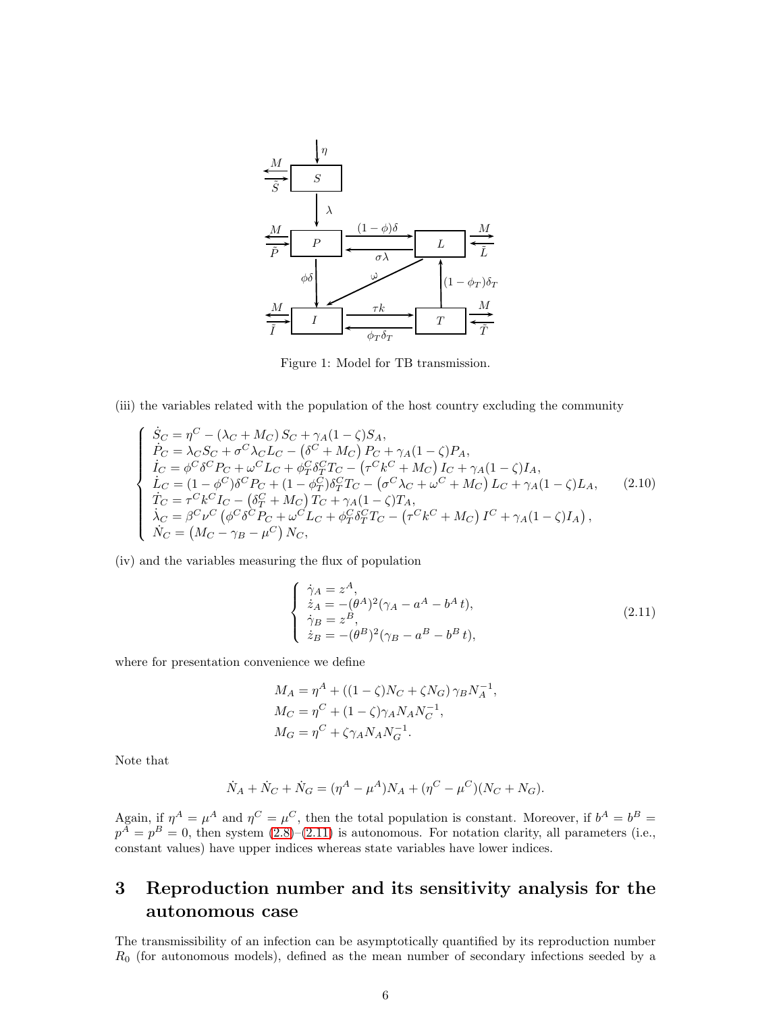

Figure 1: Model for TB transmission.

(iii) the variables related with the population of the host country excluding the community

$$
\begin{cases}\n\dot{S}_{C} = \eta^{C} - (\lambda_{C} + M_{C}) S_{C} + \gamma_{A} (1 - \zeta) S_{A}, \n\dot{P}_{C} = \lambda_{C} S_{C} + \sigma^{C} \lambda_{C} L_{C} - (\delta^{C} + M_{C}) P_{C} + \gamma_{A} (1 - \zeta) P_{A}, \n\dot{I}_{C} = \phi^{C} \delta^{C} P_{C} + \omega^{C} L_{C} + \phi_{T}^{C} \delta_{T}^{C} T_{C} - (\tau^{C} k^{C} + M_{C}) I_{C} + \gamma_{A} (1 - \zeta) I_{A}, \n\dot{L}_{C} = (1 - \phi^{C}) \delta^{C} P_{C} + (1 - \phi_{T}^{C}) \delta_{T}^{C} T_{C} - (\sigma^{C} \lambda_{C} + \omega^{C} + M_{C}) L_{C} + \gamma_{A} (1 - \zeta) L_{A}, \n\dot{T}_{C} = \tau^{C} k^{C} I_{C} - (\delta_{T}^{C} + M_{C}) T_{C} + \gamma_{A} (1 - \zeta) T_{A}, \n\dot{\lambda}_{C} = \beta^{C} \nu^{C} (\phi^{C} \delta^{C} P_{C} + \omega^{C} L_{C} + \phi_{T}^{C} \delta_{T}^{C} T_{C} - (\tau^{C} k^{C} + M_{C}) I^{C} + \gamma_{A} (1 - \zeta) I_{A}), \n\dot{N}_{C} = (M_{C} - \gamma_{B} - \mu^{C}) N_{C},\n\end{cases}
$$
\n(2.10)

(iv) and the variables measuring the flux of population

<span id="page-5-1"></span>
$$
\begin{cases}\n\dot{\gamma}_A = z^A, \\
\dot{z}_A = -(\theta^A)^2 (\gamma_A - a^A - b^A t), \\
\dot{\gamma}_B = z^B, \\
\dot{z}_B = -(\theta^B)^2 (\gamma_B - a^B - b^B t),\n\end{cases} (2.11)
$$

where for presentation convenience we define

$$
M_A = \eta^A + ((1 - \zeta)N_C + \zeta N_G)\,\gamma_B N_A^{-1},
$$
  
\n
$$
M_C = \eta^C + (1 - \zeta)\gamma_A N_A N_C^{-1},
$$
  
\n
$$
M_G = \eta^C + \zeta \gamma_A N_A N_G^{-1}.
$$

Note that

$$
\dot{N}_A + \dot{N}_C + \dot{N}_G = (\eta^A - \mu^A)N_A + (\eta^C - \mu^C)(N_C + N_G).
$$

Again, if  $\eta^A = \mu^A$  and  $\eta^C = \mu^C$ , then the total population is constant. Moreover, if  $b^A = b^B =$  $p^{A} = p^{B} = 0$ , then system  $(2.8)$ - $(2.11)$  is autonomous. For notation clarity, all parameters (i.e., constant values) have upper indices whereas state variables have lower indices.

## <span id="page-5-0"></span>3 Reproduction number and its sensitivity analysis for the autonomous case

The transmissibility of an infection can be asymptotically quantified by its reproduction number  $R_0$  (for autonomous models), defined as the mean number of secondary infections seeded by a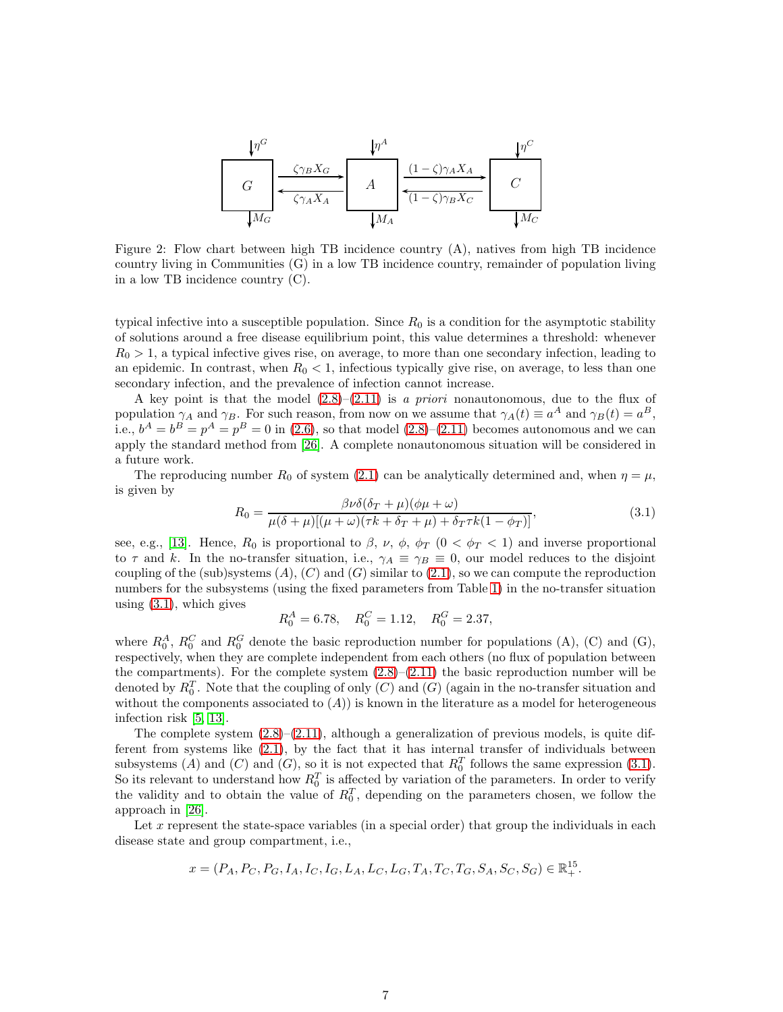

Figure 2: Flow chart between high TB incidence country (A), natives from high TB incidence country living in Communities (G) in a low TB incidence country, remainder of population living in a low TB incidence country (C).

typical infective into a susceptible population. Since  $R_0$  is a condition for the asymptotic stability of solutions around a free disease equilibrium point, this value determines a threshold: whenever  $R_0 > 1$ , a typical infective gives rise, on average, to more than one secondary infection, leading to an epidemic. In contrast, when  $R_0 < 1$ , infectious typically give rise, on average, to less than one secondary infection, and the prevalence of infection cannot increase.

A key point is that the model  $(2.8)$ – $(2.11)$  is a priori nonautonomous, due to the flux of population  $\gamma_A$  and  $\gamma_B$ . For such reason, from now on we assume that  $\gamma_A(t) \equiv a^A$  and  $\gamma_B(t) = a^B$ , i.e.,  $b^A = b^B = p^A = p^B = 0$  in [\(2.6\)](#page-4-1), so that model [\(2.8\)](#page-4-0)–[\(2.11\)](#page-5-1) becomes autonomous and we can apply the standard method from [\[26\]](#page-17-15). A complete nonautonomous situation will be considered in a future work.

The reproducing number  $R_0$  of system [\(2.1\)](#page-2-1) can be analytically determined and, when  $\eta = \mu$ , is given by

<span id="page-6-0"></span>
$$
R_0 = \frac{\beta \nu \delta(\delta_T + \mu)(\phi \mu + \omega)}{\mu(\delta + \mu)[(\mu + \omega)(\tau k + \delta_T + \mu) + \delta_T \tau k(1 - \phi_T)]},
$$
(3.1)

see, e.g., [\[13\]](#page-16-10). Hence,  $R_0$  is proportional to  $\beta$ ,  $\nu$ ,  $\phi$ ,  $\phi_T$  ( $0 < \phi_T < 1$ ) and inverse proportional to  $\tau$  and k. In the no-transfer situation, i.e.,  $\gamma_A \equiv \gamma_B \equiv 0$ , our model reduces to the disjoint coupling of the (sub)systems  $(A)$ ,  $(C)$  and  $(G)$  similar to  $(2.1)$ , so we can compute the reproduction numbers for the subsystems (using the fixed parameters from Table [1\)](#page-9-0) in the no-transfer situation using  $(3.1)$ , which gives

$$
R_0^A = 6.78
$$
,  $R_0^C = 1.12$ ,  $R_0^G = 2.37$ ,

where  $R_0^A$ ,  $R_0^C$  and  $R_0^G$  denote the basic reproduction number for populations (A), (C) and (G), respectively, when they are complete independent from each others (no flux of population between the compartments). For the complete system  $(2.8)$ – $(2.11)$  the basic reproduction number will be denoted by  $R_0^T$ . Note that the coupling of only  $(C)$  and  $(G)$  (again in the no-transfer situation and without the components associated to  $(A)$ ) is known in the literature as a model for heterogeneous infection risk [\[5,](#page-16-11) [13\]](#page-16-10).

The complete system  $(2.8)$ – $(2.11)$ , although a generalization of previous models, is quite different from systems like [\(2.1\)](#page-2-1), by the fact that it has internal transfer of individuals between subsystems (A) and (C) and (G), so it is not expected that  $R_0^T$  follows the same expression [\(3.1\)](#page-6-0). So its relevant to understand how  $R_0^T$  is affected by variation of the parameters. In order to verify the validity and to obtain the value of  $R_0^T$ , depending on the parameters chosen, we follow the approach in [\[26\]](#page-17-15).

Let x represent the state-space variables (in a special order) that group the individuals in each disease state and group compartment, i.e.,

$$
x=(P_A, P_C, P_G, I_A, I_C, I_G, L_A, L_C, L_G, T_A, T_C, T_G, S_A, S_C, S_G) \in \mathbb{R}_+^{15}.
$$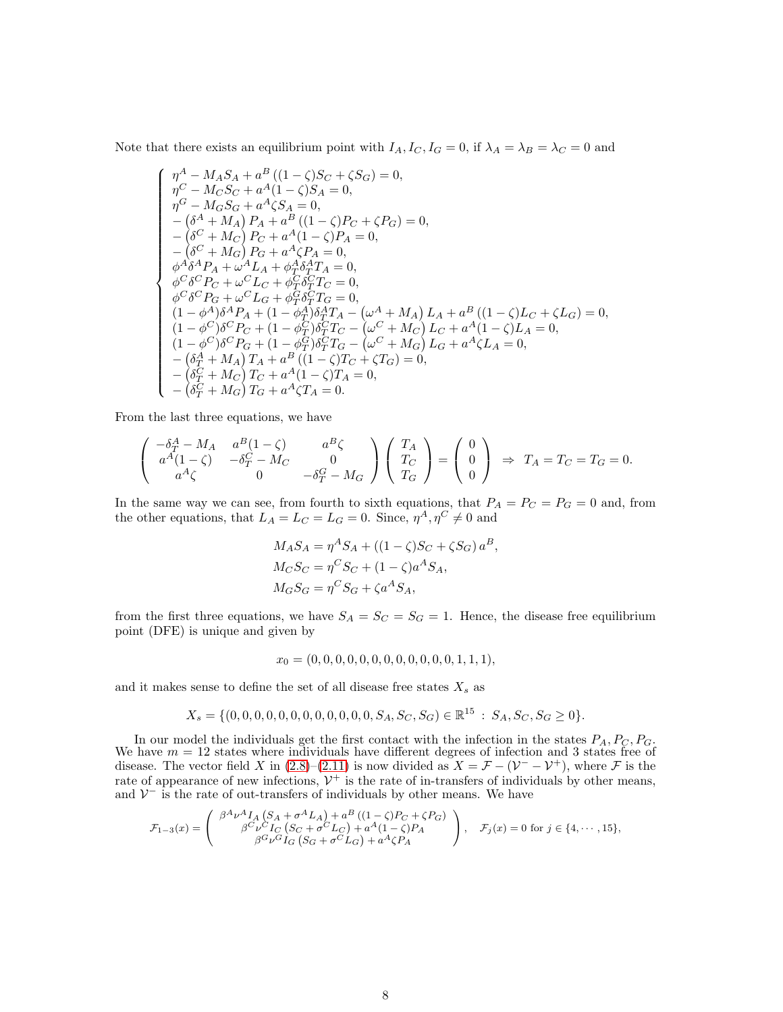Note that there exists an equilibrium point with  $I_A$ ,  $I_C$ ,  $I_G = 0$ , if  $\lambda_A = \lambda_B = \lambda_C = 0$  and

$$
\left\{\n\begin{array}{l}\n\eta^A - M_A S_A + a^B \left((1 - \zeta) S_C + \zeta S_G\right) = 0, \\
\eta^C - M_C S_C + a^A (1 - \zeta) S_A = 0, \\
\eta^G - M_G S_G + a^A \zeta S_A = 0, \\
-\left(\delta^A + M_A\right) P_A + a^B \left((1 - \zeta) P_C + \zeta P_G\right) = 0, \\
-\left(\delta^C + M_C\right) P_C + a^A (1 - \zeta) P_A = 0, \\
-\left(\delta^C + M_G\right) P_G + a^A \zeta P_A = 0, \\
\phi^A \delta^A P_A + \omega^A L_A + \phi^A \delta^A T_A = 0, \\
\phi^C \delta^C P_C + \omega^C L_C + \phi^C_T \delta^C_T T_C = 0, \\
\phi^C \delta^C P_G + \omega^C L_G + \phi^C_T \delta^C_T T_G = 0, \\
(1 - \phi^A) \delta^A P_A + (1 - \phi^A_T) \delta^A_T T_A - (\omega^A + M_A) L_A + a^B \left((1 - \zeta) L_C + \zeta L_G\right) = 0, \\
(1 - \phi^C) \delta^C P_C + (1 - \phi^C_T) \delta^C_T T_C - (\omega^C + M_C) L_C + a^A (1 - \zeta) L_A = 0, \\
(1 - \phi^C) \delta^C P_G + (1 - \phi^C_T) \delta^C_T T_G - (\omega^C + M_G) L_G + a^A \zeta L_A = 0, \\
-(\delta^A_T + M_A) T_A + a^B \left((1 - \zeta) T_C + \zeta T_G\right) = 0, \\
-(\delta^C_T + M_C) T_C + a^A (1 - \zeta) T_A = 0,\n\end{array}\n\right.
$$

From the last three equations, we have

$$
\begin{pmatrix}\n-\delta_T^A - M_A & a^B(1 - \zeta) & a^B \zeta \\
a^A(1 - \zeta) & -\delta_T^C - M_C & 0 \\
a^A \zeta & 0 & -\delta_T^G - M_G\n\end{pmatrix}\n\begin{pmatrix}\nT_A \\
T_C \\
T_G\n\end{pmatrix} = \begin{pmatrix}\n0 \\
0 \\
0\n\end{pmatrix} \Rightarrow T_A = T_C = T_G = 0.
$$

In the same way we can see, from fourth to sixth equations, that  $P_A = P_C = P_G = 0$  and, from the other equations, that  $L_A = L_C = L_G = 0$ . Since,  $\eta^A, \eta^C \neq 0$  and

$$
M_A S_A = \eta^A S_A + ((1 - \zeta)S_C + \zeta S_G) a^B,
$$
  
\n
$$
M_C S_C = \eta^C S_C + (1 - \zeta) a^A S_A,
$$
  
\n
$$
M_G S_G = \eta^C S_G + \zeta a^A S_A,
$$

from the first three equations, we have  $S_A = S_C = S_G = 1$ . Hence, the disease free equilibrium point (DFE) is unique and given by

$$
x_0 = (0, 0, 0, 0, 0, 0, 0, 0, 0, 0, 0, 0, 1, 1, 1),
$$

and it makes sense to define the set of all disease free states  $X_s$  as

$$
X_s = \{ (0, 0, 0, 0, 0, 0, 0, 0, 0, 0, 0, 0, S_A, S_C, S_G) \in \mathbb{R}^{15} : S_A, S_C, S_G \ge 0 \}.
$$

In our model the individuals get the first contact with the infection in the states  $P_A$ ,  $P_C$ ,  $P_G$ , We have  $m = 12$  states where individuals have different degrees of infection and 3 states free of disease. The vector field X in  $(2.8)$ – $(2.11)$  is now divided as  $X = \mathcal{F} - (\mathcal{V}^- - \mathcal{V}^+)$ , where  $\mathcal F$  is the rate of appearance of new infections,  $\mathcal{V}^+$  is the rate of in-transfers of individuals by other means, and  $\mathcal{V}^-$  is the rate of out-transfers of individuals by other means. We have

$$
\mathcal{F}_{1-3}(x) = \begin{pmatrix} \beta^A \nu^A I_A \left( S_A + \sigma^A L_A \right) + a^B \left( (1 - \zeta) P_C + \zeta P_G \right) \\ \beta^C \nu^C I_C \left( S_C + \sigma^C L_C \right) + a^A (1 - \zeta) P_A \\ \beta^G \nu^G I_G \left( S_G + \sigma^C L_G \right) + a^A \zeta P_A \end{pmatrix}, \quad \mathcal{F}_j(x) = 0 \text{ for } j \in \{4, \cdots, 15\},
$$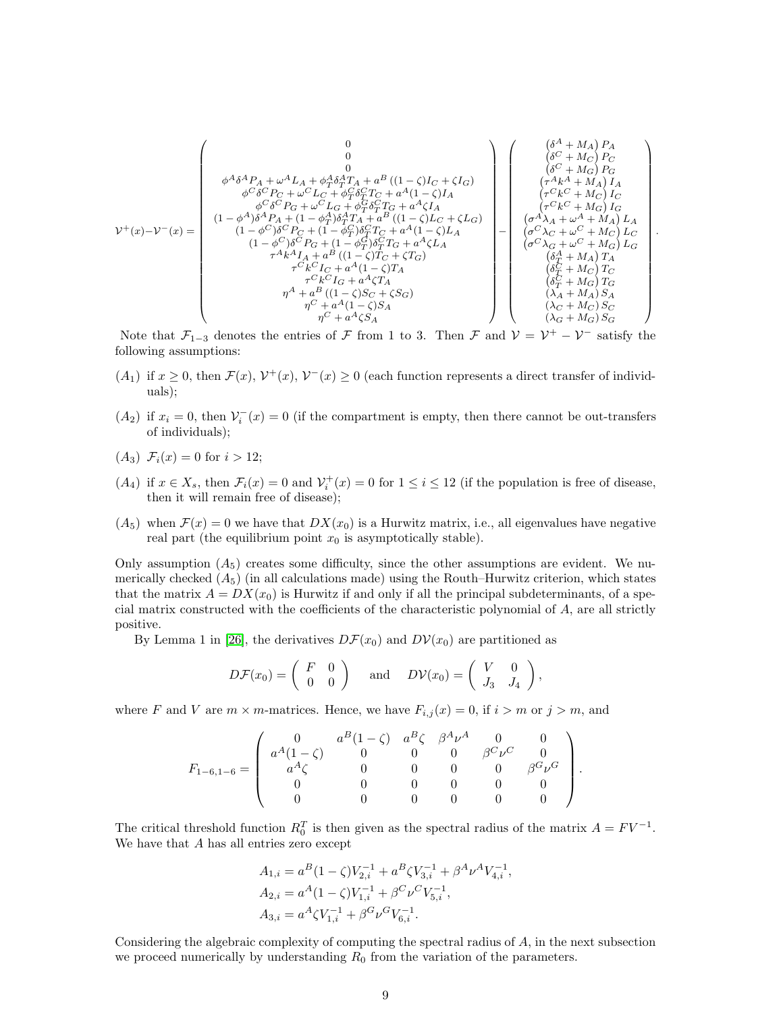$$
\mathcal{V}^+(x) - \mathcal{V}^-(x) = \begin{pmatrix}\n0 & 0 & (\delta^A + M_A) P_A \\
0 & 0 & (\delta^C + M_C) P_C \\
\phi^C \delta^C P_C + \omega^C L_C + \phi_T^C \delta_T^T T_A + a^B ((1 - \zeta) I_C + \zeta I_G) \\
\phi^C \delta^C P_C + \omega^C L_C + \phi_T^C \delta_T^C T_C + a^A (1 - \zeta) I_A \\
\phi^C \delta^C P_S + \omega^C L_G + \phi_T^C \delta_T^C T_G + a^A (1 - \zeta) I_A \\
(1 - \phi^A) \delta^A P_A + (1 - \phi_T^A) \delta_T^A T_A + a^B ((1 - \zeta) L_C + \zeta L_G) \\
(1 - \phi^C) \delta^C P_C + (1 - \phi_T^C) \delta_T^C T_C + a^A (1 - \zeta) L_A \\
(1 - \phi^C) \delta^C P_S + (1 - \phi_T^C) \delta_T^C T_G + a^A (1 - \zeta) L_A \\
\tau^A k^A I_A + a^B ((1 - \zeta) T_C + \zeta T_G) \\
\tau^A k^A I_A + a^B ((1 - \zeta) T_A \\
\tau^C k^C I_C + a^A (1 - \zeta) T_A \\
\tau^C k^C I_G + a^A \zeta T_A \\
\eta^C + a^A (1 - \zeta) S_A \\
\eta^C + a^A (1 - \zeta) S_A \\
\eta^C + a^A \zeta S_A\n\end{pmatrix} - \begin{pmatrix}\n(\delta^A + M_A) P_A \\
(\delta^C + M_C) P_C \\
(\sigma^A \lambda_A + \omega^A + M_A) I_A \\
(\sigma^C \lambda_C + \omega^C + M_C) I_C \\
(\sigma^A \lambda_A + \omega^A + M_A) I_A \\
(\sigma^C \lambda_C + \omega^C + M_C) I_C \\
(\sigma^A \lambda_A + \omega^A + M_A) I_A \\
(\sigma^C \lambda_C + \omega^C + M_G) I_C \\
(\delta_T^C + M_C) T_C \\
(\delta_T^C + M_C) T_C \\
(\delta_T^C + M_C) T_C \\
(\lambda_A + M_A) S_A \\
\eta^C + a^A \zeta S_A\n\end{pmatrix}
$$

.

Note that  $\mathcal{F}_{1-3}$  denotes the entries of  $\mathcal F$  from 1 to 3. Then  $\mathcal F$  and  $\mathcal V = \mathcal V^+ - \mathcal V^-$  satisfy the following assumptions:

- $(A_1)$  if  $x \geq 0$ , then  $\mathcal{F}(x)$ ,  $\mathcal{V}^+(x)$ ,  $\mathcal{V}^-(x) \geq 0$  (each function represents a direct transfer of individuals);
- $(A_2)$  if  $x_i = 0$ , then  $\mathcal{V}_i^-(x) = 0$  (if the compartment is empty, then there cannot be out-transfers of individuals);
- $(A_3) \mathcal{F}_i(x) = 0$  for  $i > 12$ ;
- $(A_4)$  if  $x \in X_s$ , then  $\mathcal{F}_i(x) = 0$  and  $\mathcal{V}_i^+(x) = 0$  for  $1 \leq i \leq 12$  (if the population is free of disease, then it will remain free of disease);
- $(A_5)$  when  $\mathcal{F}(x) = 0$  we have that  $DX(x_0)$  is a Hurwitz matrix, i.e., all eigenvalues have negative real part (the equilibrium point  $x_0$  is asymptotically stable).

Only assumption  $(A_5)$  creates some difficulty, since the other assumptions are evident. We numerically checked  $(A_5)$  (in all calculations made) using the Routh–Hurwitz criterion, which states that the matrix  $A = DX(x_0)$  is Hurwitz if and only if all the principal subdeterminants, of a special matrix constructed with the coefficients of the characteristic polynomial of A, are all strictly positive.

By Lemma 1 in [\[26\]](#page-17-15), the derivatives  $D\mathcal{F}(x_0)$  and  $D\mathcal{V}(x_0)$  are partitioned as

$$
D\mathcal{F}(x_0) = \begin{pmatrix} F & 0 \\ 0 & 0 \end{pmatrix} \quad \text{and} \quad D\mathcal{V}(x_0) = \begin{pmatrix} V & 0 \\ J_3 & J_4 \end{pmatrix},
$$

where F and V are  $m \times m$ -matrices. Hence, we have  $F_{i,j}(x) = 0$ , if  $i > m$  or  $j > m$ , and

$$
F_{1-6,1-6} = \left(\begin{array}{cccccc} 0 & a^B(1-\zeta) & a^B\zeta & \beta^A\nu^A & 0 & 0 \\ a^A(1-\zeta) & 0 & 0 & 0 & \beta^C\nu^C & 0 \\ a^A\zeta & 0 & 0 & 0 & 0 & \beta^G\nu^G \\ 0 & 0 & 0 & 0 & 0 & 0 \\ 0 & 0 & 0 & 0 & 0 & 0 \end{array}\right).
$$

The critical threshold function  $R_0^T$  is then given as the spectral radius of the matrix  $A = FV^{-1}$ . We have that A has all entries zero except

$$
A_{1,i} = a^B (1 - \zeta) V_{2,i}^{-1} + a^B \zeta V_{3,i}^{-1} + \beta^A \nu^A V_{4,i}^{-1},
$$
  
\n
$$
A_{2,i} = a^A (1 - \zeta) V_{1,i}^{-1} + \beta^C \nu^C V_{5,i}^{-1},
$$
  
\n
$$
A_{3,i} = a^A \zeta V_{1,i}^{-1} + \beta^G \nu^G V_{6,i}^{-1}.
$$

Considering the algebraic complexity of computing the spectral radius of A, in the next subsection we proceed numerically by understanding  $R_0$  from the variation of the parameters.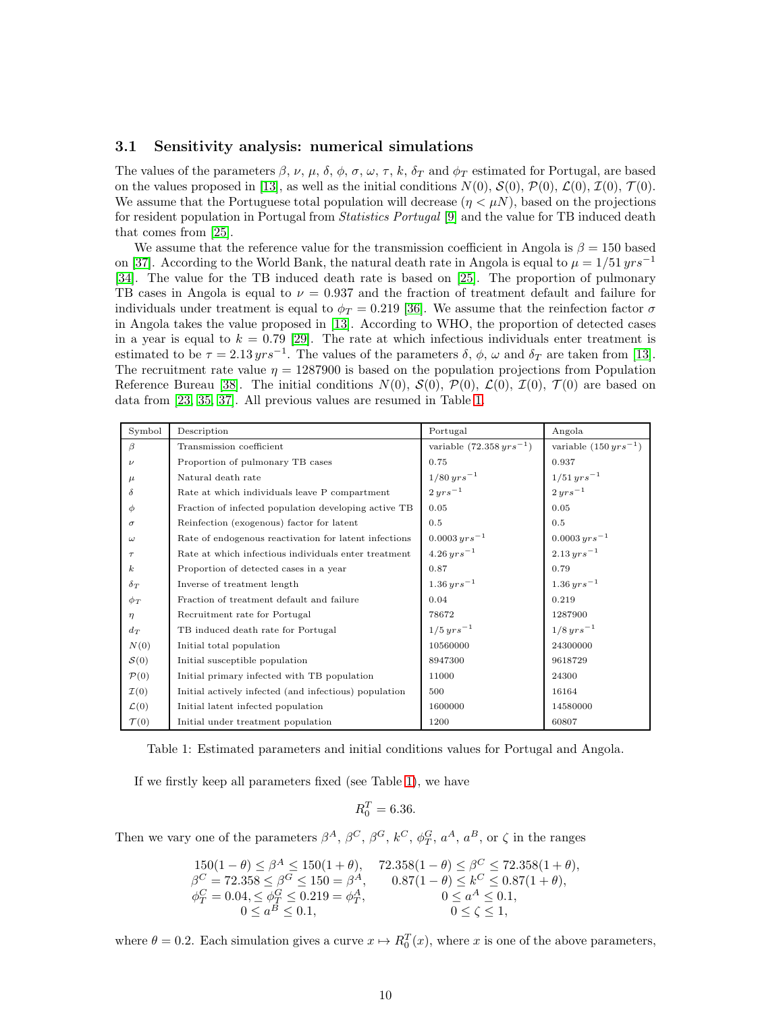#### 3.1 Sensitivity analysis: numerical simulations

The values of the parameters  $\beta$ ,  $\nu$ ,  $\mu$ ,  $\delta$ ,  $\phi$ ,  $\sigma$ ,  $\omega$ ,  $\tau$ ,  $k$ ,  $\delta_T$  and  $\phi_T$  estimated for Portugal, are based on the values proposed in [\[13\]](#page-16-10), as well as the initial conditions  $N(0)$ ,  $\mathcal{S}(0)$ ,  $\mathcal{P}(0)$ ,  $\mathcal{L}(0)$ ,  $\mathcal{I}(0)$ ,  $\mathcal{T}(0)$ . We assume that the Portuguese total population will decrease  $(\eta < \mu N)$ , based on the projections for resident population in Portugal from *Statistics Portugal* [\[9\]](#page-16-9) and the value for TB induced death that comes from [\[25\]](#page-17-16).

We assume that the reference value for the transmission coefficient in Angola is  $\beta = 150$  based on [\[37\]](#page-17-17). According to the World Bank, the natural death rate in Angola is equal to  $\mu = 1/51$   $yrs^{-1}$ [\[34\]](#page-17-18). The value for the TB induced death rate is based on [\[25\]](#page-17-16). The proportion of pulmonary TB cases in Angola is equal to  $\nu = 0.937$  and the fraction of treatment default and failure for individuals under treatment is equal to  $\phi_T = 0.219$  [\[36\]](#page-17-19). We assume that the reinfection factor  $\sigma$ in Angola takes the value proposed in [\[13\]](#page-16-10). According to WHO, the proportion of detected cases in a year is equal to  $k = 0.79$  [\[29\]](#page-17-0). The rate at which infectious individuals enter treatment is estimated to be  $\tau = 2.13 \, yrs^{-1}$ . The values of the parameters  $\delta$ ,  $\phi$ ,  $\omega$  and  $\delta_T$  are taken from [\[13\]](#page-16-10). The recruitment rate value  $\eta = 1287900$  is based on the population projections from Population Reference Bureau [\[38\]](#page-17-20). The initial conditions  $N(0)$ ,  $S(0)$ ,  $\mathcal{P}(0)$ ,  $\mathcal{L}(0)$ ,  $\mathcal{I}(0)$ ,  $\mathcal{T}(0)$  are based on data from [\[23,](#page-17-13) [35,](#page-17-21) [37\]](#page-17-17). All previous values are resumed in Table [1.](#page-9-0)

<span id="page-9-0"></span>

| Symbol             | Description                                           | Portugal                        | Angola                       |
|--------------------|-------------------------------------------------------|---------------------------------|------------------------------|
| $\beta$            | Transmission coefficient                              | variable $(72.358 \, yrs^{-1})$ | variable $(150 \, yrs^{-1})$ |
| $\boldsymbol{\nu}$ | Proportion of pulmonary TB cases                      | 0.75                            | 0.937                        |
| $\mu$              | Natural death rate                                    | $1/80$ $yrs^{-1}$               | $1/51 \, yrs^{-1}$           |
| δ                  | Rate at which individuals leave P compartment         | $2\,yrs^{-1}$                   | $2\,yrs^{-1}$                |
| $\phi$             | Fraction of infected population developing active TB  | 0.05                            | 0.05                         |
| $\sigma$           | Reinfection (exogenous) factor for latent             | 0.5                             | 0.5                          |
| $\omega$           | Rate of endogenous reactivation for latent infections | $0.0003 \, yrs^{-1}$            | $0.0003 \, yrs^{-1}$         |
| $\tau$             | Rate at which infectious individuals enter treatment  | $4.26 \, yrs^{-1}$              | $2.13 \, yrs^{-1}$           |
| $\boldsymbol{k}$   | Proportion of detected cases in a year                | 0.87                            | 0.79                         |
| $\delta_T$         | Inverse of treatment length                           | $1.36 \, yrs^{-1}$              | $1.36 \, yrs^{-1}$           |
| $\phi_T$           | Fraction of treatment default and failure             | 0.04                            | 0.219                        |
| $\eta$             | Recruitment rate for Portugal                         | 78672                           | 1287900                      |
| $d_T$              | TB induced death rate for Portugal                    | $1/5 \, yrs^{-1}$               | $1/8$ $yrs^{-1}$             |
| N(0)               | Initial total population                              | 10560000                        | 24300000                     |
| $\mathcal{S}(0)$   | Initial susceptible population                        | 8947300                         | 9618729                      |
| $\mathcal{P}(0)$   | Initial primary infected with TB population           | 11000                           | 24300                        |
| $\mathcal{I}(0)$   | Initial actively infected (and infectious) population | 500                             | 16164                        |
| $\mathcal{L}(0)$   | Initial latent infected population                    | 1600000                         | 14580000                     |
| $\mathcal{T}(0)$   | Initial under treatment population                    | 1200                            | 60807                        |

Table 1: Estimated parameters and initial conditions values for Portugal and Angola.

If we firstly keep all parameters fixed (see Table [1\)](#page-9-0), we have

$$
R_0^T = 6.36.
$$

Then we vary one of the parameters  $\beta^A$ ,  $\beta^C$ ,  $\beta^G$ ,  $k^C$ ,  $\phi_T^G$ ,  $a^A$ ,  $a^B$ , or  $\zeta$  in the ranges

$$
150(1 - \theta) \le \beta^A \le 150(1 + \theta), \quad 72.358(1 - \theta) \le \beta^C \le 72.358(1 + \theta),
$$
  
\n
$$
\beta^C = 72.358 \le \beta^G \le 150 = \beta^A, \quad 0.87(1 - \theta) \le k^C \le 0.87(1 + \theta),
$$
  
\n
$$
\phi_T^C = 0.04, \le \phi_T^G \le 0.219 = \phi_T^A, \quad 0 \le a^A \le 0.1,
$$
  
\n
$$
0 \le \alpha^B \le 0.1, \quad 0 \le \zeta \le 1,
$$

where  $\theta = 0.2$ . Each simulation gives a curve  $x \mapsto R_0^T(x)$ , where x is one of the above parameters,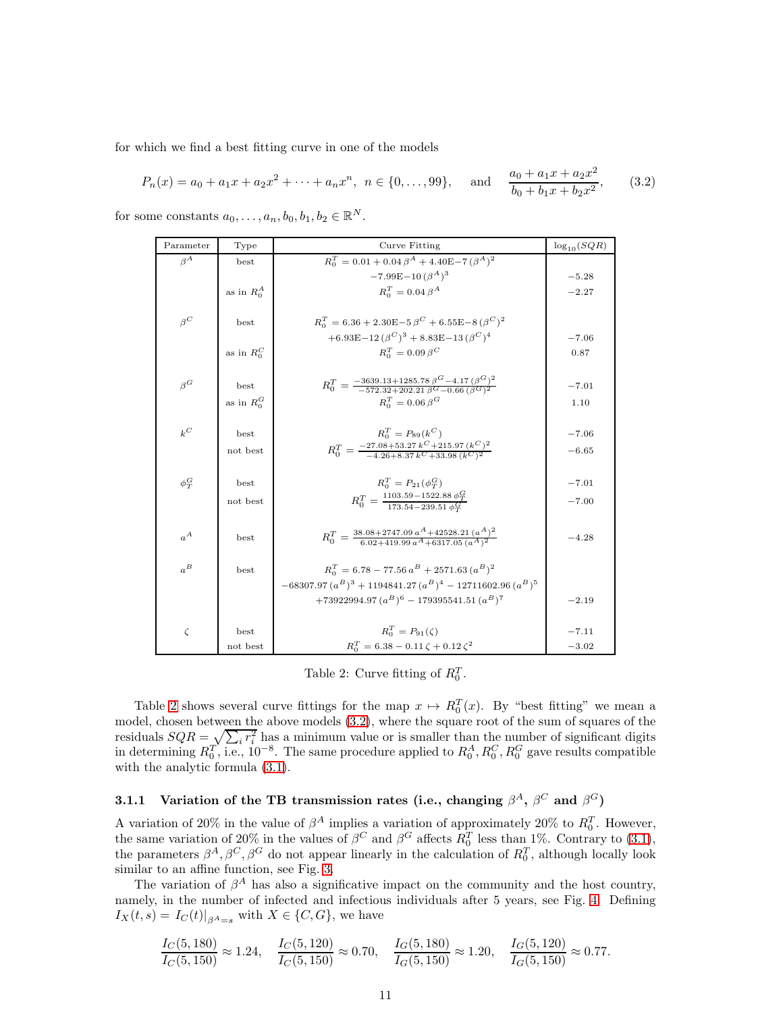for which we find a best fitting curve in one of the models

<span id="page-10-1"></span>
$$
P_n(x) = a_0 + a_1x + a_2x^2 + \dots + a_nx^n, \ n \in \{0, \dots, 99\}, \quad \text{and} \quad \frac{a_0 + a_1x + a_2x^2}{b_0 + b_1x + b_2x^2}, \qquad (3.2)
$$

<span id="page-10-0"></span>for some constants  $a_0, \ldots, a_n, b_0, b_1, b_2 \in \mathbb{R}^N$ .

| Parameter  | Type                                    | Curve Fitting                                                                                               | $\log_{10}(SQR)$ |
|------------|-----------------------------------------|-------------------------------------------------------------------------------------------------------------|------------------|
| $\beta^A$  | best                                    | $R_0^T = 0.01 + 0.04 \beta^A + 4.40E - 7 (\beta^A)^2$                                                       |                  |
|            |                                         | $-7.99E-10\,(\beta^{A})^{3}$                                                                                | $-5.28$          |
|            | as in $R_0^A$                           | $R_o^T = 0.04 \beta^A$                                                                                      | $-2.27$          |
|            |                                         |                                                                                                             |                  |
| $\beta^C$  | best                                    | $R_0^T = 6.36 + 2.30E - 5 \beta^C + 6.55E - 8 (\beta^C)^2$                                                  |                  |
|            |                                         | +6.93E-12 $(\beta^C)^3$ + 8.83E-13 $(\beta^C)^4$                                                            | $-7.06$          |
|            | as in $R^C_{\scriptscriptstyle \Omega}$ | $R_0^T=0.09\,\beta^C$                                                                                       | 0.87             |
|            |                                         |                                                                                                             |                  |
| $\beta^G$  | best                                    | $R_0^T = \frac{-3639.13 + 1285.78 \beta^G - 4.17 (\beta^G)^2}{-572.32 + 202.21 \beta^G - 0.66 (\beta^G)^2}$ | $-7.01$          |
|            | as in $R_0^G$                           | $R_o^T=0.06\,\beta^G$                                                                                       | 1.10             |
|            |                                         |                                                                                                             |                  |
| $k^C$      | best                                    | $R_0^T = P_{89}(k^C)$                                                                                       | $-7.06$          |
|            | not best                                | $R_0^T = \frac{-27.08 + 53.27 k^C + 215.97 (k^C)^2}{-4.26 + 8.37 k^C + 33.98 (k^C)^2}$                      | $-6.65$          |
|            |                                         |                                                                                                             |                  |
| $\phi_T^G$ | best                                    | $R_0^T = P_{21}(\phi_T^G)$                                                                                  | $-7.01$          |
|            |                                         |                                                                                                             |                  |
|            | not best                                | $R_0^T = \frac{1103.59 - 1522.88 \ \phi_T^G}{173.54 - 239.51 \ \phi_T^G}$                                   | $-7.00$          |
|            |                                         |                                                                                                             |                  |
| $a^A$      | best                                    | $R_0^T = \frac{38.08 + 2747.09 \ a^A + 42528.21 \ (a^A)^2}{6.02 + 419.99 \ a^A + 6317.05 \ (a^A)^2}$        | $-4.28$          |
|            |                                         |                                                                                                             |                  |
| $a^B$      | best                                    | $R_o^T = 6.78 - 77.56 a^B + 2571.63 (a^B)^2$                                                                |                  |
|            |                                         | $-68307.97 (a^B)^3 + 1194841.27 (a^B)^4 - 12711602.96 (a^B)^5$                                              |                  |
|            |                                         | $+73922994.97 (a^B)^6 - 179395541.51 (a^B)^7$                                                               | $-2.19$          |
|            |                                         |                                                                                                             |                  |
| $\zeta$    | best                                    | $R_0^T = P_{91}(\zeta)$                                                                                     | $-7.11$          |
|            | not best                                | $R_0^T = 6.38 - 0.11 \zeta + 0.12 \zeta^2$                                                                  | $-3.02$          |

Table 2: Curve fitting of  $R_0^T$ .

Table [2](#page-10-0) shows several curve fittings for the map  $x \mapsto R_0^T(x)$ . By "best fitting" we mean a model, chosen between the above models [\(3.2\)](#page-10-1), where the square root of the sum of squares of the residuals  $SQR = \sqrt{\sum_i r_i^2}$  has a minimum value or is smaller than the number of significant digits in determining  $R_0^T$ , i.e.,  $10^{-8}$ . The same procedure applied to  $R_0^A$ ,  $R_0^C$ ,  $R_0^G$  gave results compatible with the analytic formula  $(3.1)$ .

#### 3.1.1 Variation of the TB transmission rates (i.e., changing  $\beta^A$ ,  $\beta^C$  and  $\beta^G$ )

A variation of 20% in the value of  $\beta^A$  implies a variation of approximately 20% to  $R_0^T$ . However, the same variation of 20% in the values of  $\beta^C$  and  $\beta^G$  affects  $R_0^T$  less than 1%. Contrary to [\(3.1\)](#page-6-0), the parameters  $\beta^A$ ,  $\beta^C$ ,  $\beta^G$  do not appear linearly in the calculation of  $R_0^T$ , although locally look similar to an affine function, see Fig. [3.](#page-11-0)

The variation of  $\beta^A$  has also a significative impact on the community and the host country, namely, in the number of infected and infectious individuals after 5 years, see Fig. [4.](#page-11-1) Defining  $I_X(t,s) = I_C(t)|_{\beta A=s}$  with  $X \in \{C, G\}$ , we have

$$
\frac{I_C(5,180)}{I_C(5,150)} \approx 1.24, \quad \frac{I_C(5,120)}{I_C(5,150)} \approx 0.70, \quad \frac{I_G(5,180)}{I_G(5,150)} \approx 1.20, \quad \frac{I_G(5,120)}{I_G(5,150)} \approx 0.77.
$$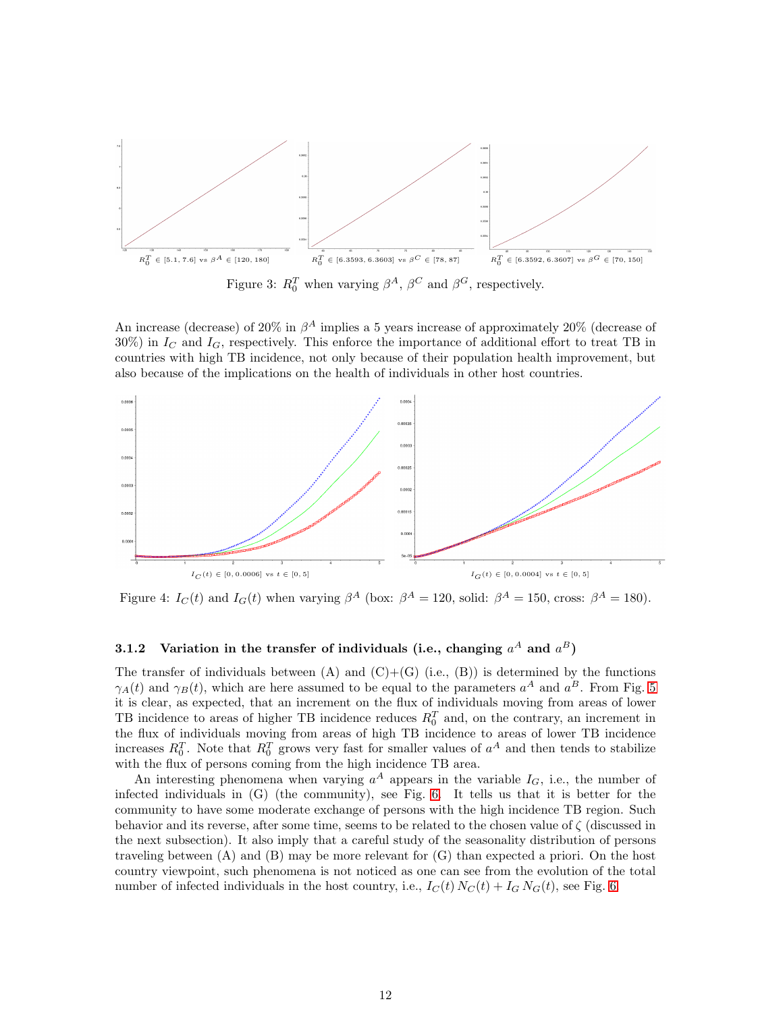<span id="page-11-0"></span>

Figure 3:  $R_0^T$  when varying  $\beta^A$ ,  $\beta^C$  and  $\beta^G$ , respectively.

An increase (decrease) of 20% in  $\beta^A$  implies a 5 years increase of approximately 20% (decrease of  $30\%$ ) in  $I_{C}$  and  $I_{G}$ , respectively. This enforce the importance of additional effort to treat TB in countries with high TB incidence, not only because of their population health improvement, but also because of the implications on the health of individuals in other host countries.

<span id="page-11-1"></span>

Figure 4:  $I_C(t)$  and  $I_G(t)$  when varying  $\beta^A$  (box:  $\beta^A = 120$ , solid:  $\beta^A = 150$ , cross:  $\beta^A = 180$ ).

#### 3.1.2 Variation in the transfer of individuals (i.e., changing  $a^A$  and  $a^B$ )

The transfer of individuals between  $(A)$  and  $(C)+(G)$  (i.e.,  $(B)$ ) is determined by the functions  $\gamma_A(t)$  and  $\gamma_B(t)$ , which are here assumed to be equal to the parameters  $a^A$  and  $a^B$ . From Fig. [5](#page-12-0) it is clear, as expected, that an increment on the flux of individuals moving from areas of lower TB incidence to areas of higher TB incidence reduces  $R_0^T$  and, on the contrary, an increment in the flux of individuals moving from areas of high TB incidence to areas of lower TB incidence increases  $R_0^T$ . Note that  $R_0^T$  grows very fast for smaller values of  $a^A$  and then tends to stabilize with the flux of persons coming from the high incidence TB area.

An interesting phenomena when varying  $a^A$  appears in the variable  $I_G$ , i.e., the number of infected individuals in (G) (the community), see Fig. [6.](#page-12-1) It tells us that it is better for the community to have some moderate exchange of persons with the high incidence TB region. Such behavior and its reverse, after some time, seems to be related to the chosen value of ζ (discussed in the next subsection). It also imply that a careful study of the seasonality distribution of persons traveling between (A) and (B) may be more relevant for (G) than expected a priori. On the host country viewpoint, such phenomena is not noticed as one can see from the evolution of the total number of infected individuals in the host country, i.e.,  $I_C(t) N_C(t) + I_G N_G(t)$ , see Fig. [6.](#page-12-1)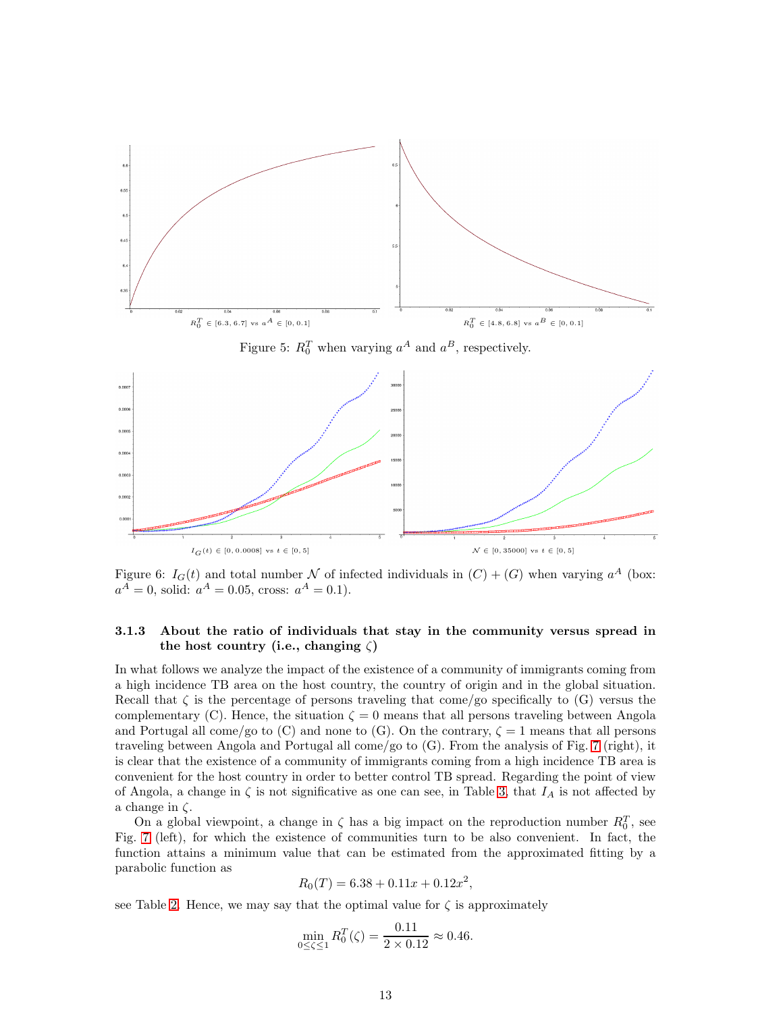<span id="page-12-0"></span>

<span id="page-12-1"></span>

Figure 6:  $I_G(t)$  and total number N of infected individuals in  $(C) + (G)$  when varying  $a^A$  (box:  $a^A = 0$ , solid:  $a^A = 0.05$ , cross:  $a^A = 0.1$ ).

#### 3.1.3 About the ratio of individuals that stay in the community versus spread in the host country (i.e., changing  $\zeta$ )

In what follows we analyze the impact of the existence of a community of immigrants coming from a high incidence TB area on the host country, the country of origin and in the global situation. Recall that  $\zeta$  is the percentage of persons traveling that come/go specifically to (G) versus the complementary (C). Hence, the situation  $\zeta = 0$  means that all persons traveling between Angola and Portugal all come/go to (C) and none to (G). On the contrary,  $\zeta = 1$  means that all persons traveling between Angola and Portugal all come/go to (G). From the analysis of Fig. [7](#page-13-1) (right), it is clear that the existence of a community of immigrants coming from a high incidence TB area is convenient for the host country in order to better control TB spread. Regarding the point of view of Angola, a change in  $\zeta$  is not significative as one can see, in Table [3,](#page-15-1) that  $I_A$  is not affected by a change in  $\zeta$ .

On a global viewpoint, a change in  $\zeta$  has a big impact on the reproduction number  $R_0^T$ , see Fig. [7](#page-13-1) (left), for which the existence of communities turn to be also convenient. In fact, the function attains a minimum value that can be estimated from the approximated fitting by a parabolic function as

$$
R_0(T) = 6.38 + 0.11x + 0.12x^2,
$$

see Table [2.](#page-10-0) Hence, we may say that the optimal value for  $\zeta$  is approximately

$$
\min_{0 \le \zeta \le 1} R_0^T(\zeta) = \frac{0.11}{2 \times 0.12} \approx 0.46.
$$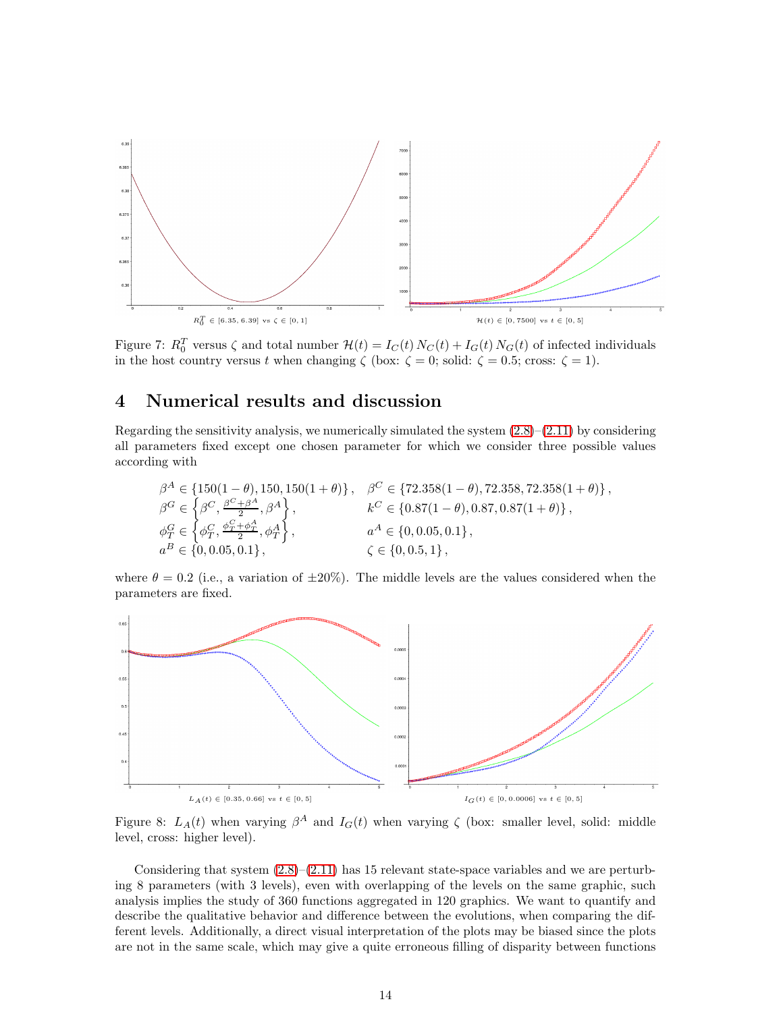<span id="page-13-1"></span>

Figure 7:  $R_0^T$  versus  $\zeta$  and total number  $\mathcal{H}(t) = I_C(t) N_C(t) + I_G(t) N_G(t)$  of infected individuals in the host country versus t when changing  $\zeta$  (box:  $\zeta = 0$ ; solid:  $\zeta = 0.5$ ; cross:  $\zeta = 1$ ).

## <span id="page-13-0"></span>4 Numerical results and discussion

Regarding the sensitivity analysis, we numerically simulated the system  $(2.8)$ – $(2.11)$  by considering all parameters fixed except one chosen parameter for which we consider three possible values according with

$$
\begin{aligned}\n\beta^A &\in \{150(1-\theta), 150, 150(1+\theta)\}, &\beta^C &\in \{72.358(1-\theta), 72.358, 72.358(1+\theta)\}, \\
\beta^G &\in \left\{\beta^C, \frac{\beta^C + \beta^A}{2}, \beta^A\right\}, &\quad k^C &\in \{0.87(1-\theta), 0.87, 0.87(1+\theta)\}, \\
\phi_T^G &\in \left\{\phi_T^C, \frac{\phi_T^C + \phi_T^A}{2}, \phi_T^A\right\}, &\quad a^A &\in \{0, 0.05, 0.1\}, \\
a^B &\in \{0, 0.05, 0.1\}, &\quad \zeta &\in \{0, 0.5, 1\},\n\end{aligned}
$$

where  $\theta = 0.2$  (i.e., a variation of  $\pm 20\%$ ). The middle levels are the values considered when the parameters are fixed.

<span id="page-13-2"></span>

Figure 8:  $L_A(t)$  when varying  $\beta^A$  and  $I_G(t)$  when varying  $\zeta$  (box: smaller level, solid: middle level, cross: higher level).

Considering that system  $(2.8)$ – $(2.11)$  has 15 relevant state-space variables and we are perturbing 8 parameters (with 3 levels), even with overlapping of the levels on the same graphic, such analysis implies the study of 360 functions aggregated in 120 graphics. We want to quantify and describe the qualitative behavior and difference between the evolutions, when comparing the different levels. Additionally, a direct visual interpretation of the plots may be biased since the plots are not in the same scale, which may give a quite erroneous filling of disparity between functions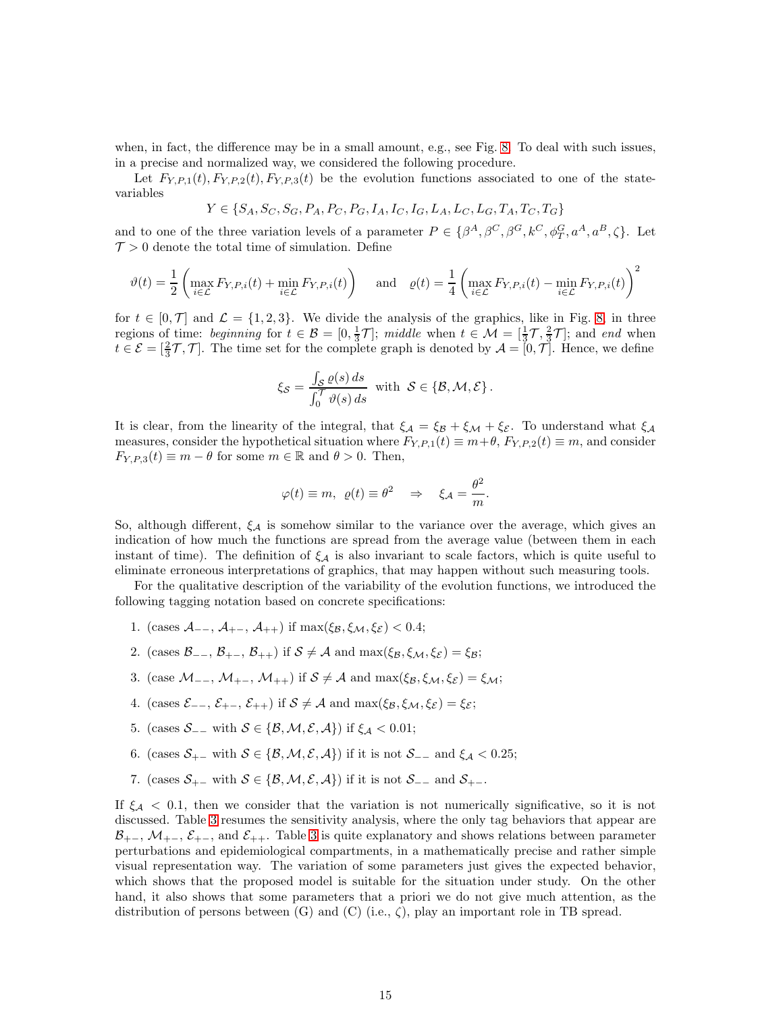when, in fact, the difference may be in a small amount, e.g., see Fig. [8.](#page-13-2) To deal with such issues, in a precise and normalized way, we considered the following procedure.

Let  $F_{Y,P,1}(t)$ ,  $F_{Y,P,2}(t)$ ,  $F_{Y,P,3}(t)$  be the evolution functions associated to one of the statevariables

$$
Y \in \{S_A, S_C, S_G, P_A, P_C, P_G, I_A, I_C, I_G, L_A, L_C, L_G, T_A, T_C, T_G\}
$$

and to one of the three variation levels of a parameter  $P \in {\beta^A, \beta^C, \beta^G, k^C, \phi_T^G, a^A, a^B, \zeta}.$  Let  $\mathcal{T} > 0$  denote the total time of simulation. Define

$$
\vartheta(t) = \frac{1}{2} \left( \max_{i \in \mathcal{L}} F_{Y,P,i}(t) + \min_{i \in \mathcal{L}} F_{Y,P,i}(t) \right) \quad \text{and} \quad \varrho(t) = \frac{1}{4} \left( \max_{i \in \mathcal{L}} F_{Y,P,i}(t) - \min_{i \in \mathcal{L}} F_{Y,P,i}(t) \right)^2
$$

for  $t \in [0, \mathcal{T}]$  and  $\mathcal{L} = \{1, 2, 3\}$ . We divide the analysis of the graphics, like in Fig. [8,](#page-13-2) in three regions of time: beginning for  $t \in \mathcal{B} = [0, \frac{1}{3}\mathcal{T}]$ ; middle when  $t \in \mathcal{M} = [\frac{1}{3}\mathcal{T}, \frac{2}{3}\mathcal{T}]$ ; and end when  $t \in \mathcal{E} = \left[\frac{2}{3}\mathcal{T}, \mathcal{T}\right]$ . The time set for the complete graph is denoted by  $\mathcal{A} = \left[0, \mathcal{T}\right]$ . Hence, we define

$$
\xi_{\mathcal{S}} = \frac{\int_{\mathcal{S}} \varrho(s) \, ds}{\int_0^{\mathcal{T}} \vartheta(s) \, ds} \text{ with } \mathcal{S} \in \{\mathcal{B}, \mathcal{M}, \mathcal{E}\}.
$$

It is clear, from the linearity of the integral, that  $\xi_A = \xi_B + \xi_M + \xi_{\mathcal{E}}$ . To understand what  $\xi_A$ measures, consider the hypothetical situation where  $F_{Y,P,1}(t) \equiv m+\theta$ ,  $F_{Y,P,2}(t) \equiv m$ , and consider  $F_{Y,P,3}(t) \equiv m - \theta$  for some  $m \in \mathbb{R}$  and  $\theta > 0$ . Then,

$$
\varphi(t) \equiv m, \ \varrho(t) \equiv \theta^2 \quad \Rightarrow \quad \xi_{\mathcal{A}} = \frac{\theta^2}{m}.
$$

So, although different,  $\xi_{\mathcal{A}}$  is somehow similar to the variance over the average, which gives an indication of how much the functions are spread from the average value (between them in each instant of time). The definition of  $\xi_A$  is also invariant to scale factors, which is quite useful to eliminate erroneous interpretations of graphics, that may happen without such measuring tools.

For the qualitative description of the variability of the evolution functions, we introduced the following tagging notation based on concrete specifications:

- 1. (cases  $\mathcal{A}_{--}$ ,  $\mathcal{A}_{+-}$ ,  $\mathcal{A}_{++}$ ) if  $\max(\xi_{\mathcal{B}}, \xi_{\mathcal{M}}, \xi_{\mathcal{E}}) < 0.4$ ;
- 2. (cases  $\mathcal{B}_{--}$ ,  $\mathcal{B}_{+-}$ ,  $\mathcal{B}_{++}$ ) if  $\mathcal{S} \neq \mathcal{A}$  and  $\max(\xi_{\mathcal{B}}, \xi_{\mathcal{M}}, \xi_{\mathcal{E}}) = \xi_{\mathcal{B}}$ ;
- 3. (case  $\mathcal{M}_{--}$ ,  $\mathcal{M}_{+-}$ ,  $\mathcal{M}_{++}$ ) if  $\mathcal{S} \neq \mathcal{A}$  and  $\max(\xi_{\mathcal{B}}, \xi_{\mathcal{M}}, \xi_{\mathcal{E}}) = \xi_{\mathcal{M}};$
- 4. (cases  $\mathcal{E}_{--}$ ,  $\mathcal{E}_{+-}$ ,  $\mathcal{E}_{++}$ ) if  $\mathcal{S} \neq \mathcal{A}$  and  $\max(\xi_{\mathcal{B}}, \xi_{\mathcal{M}}, \xi_{\mathcal{E}}) = \xi_{\mathcal{E}}$ ;
- 5. (cases  $S_{--}$  with  $S \in \{B, M, \mathcal{E}, A\}$ ) if  $\xi_A < 0.01$ ;
- 6. (cases  $S_{+-}$  with  $S \in \{B, M, \mathcal{E}, A\}$ ) if it is not  $S_{--}$  and  $\xi_A < 0.25$ ;
- 7. (cases  $S_{+-}$  with  $S \in \{B, M, E, A\}$ ) if it is not  $S_{--}$  and  $S_{+-}$ .

If  $\xi_A$  < 0.1, then we consider that the variation is not numerically significative, so it is not discussed. Table [3](#page-15-1) resumes the sensitivity analysis, where the only tag behaviors that appear are  $\mathcal{B}_{+-}$ ,  $\mathcal{M}_{+-}$ ,  $\mathcal{E}_{+-}$ , and  $\mathcal{E}_{++}$ . Table [3](#page-15-1) is quite explanatory and shows relations between parameter perturbations and epidemiological compartments, in a mathematically precise and rather simple visual representation way. The variation of some parameters just gives the expected behavior, which shows that the proposed model is suitable for the situation under study. On the other hand, it also shows that some parameters that a priori we do not give much attention, as the distribution of persons between (G) and (C) (i.e.,  $\zeta$ ), play an important role in TB spread.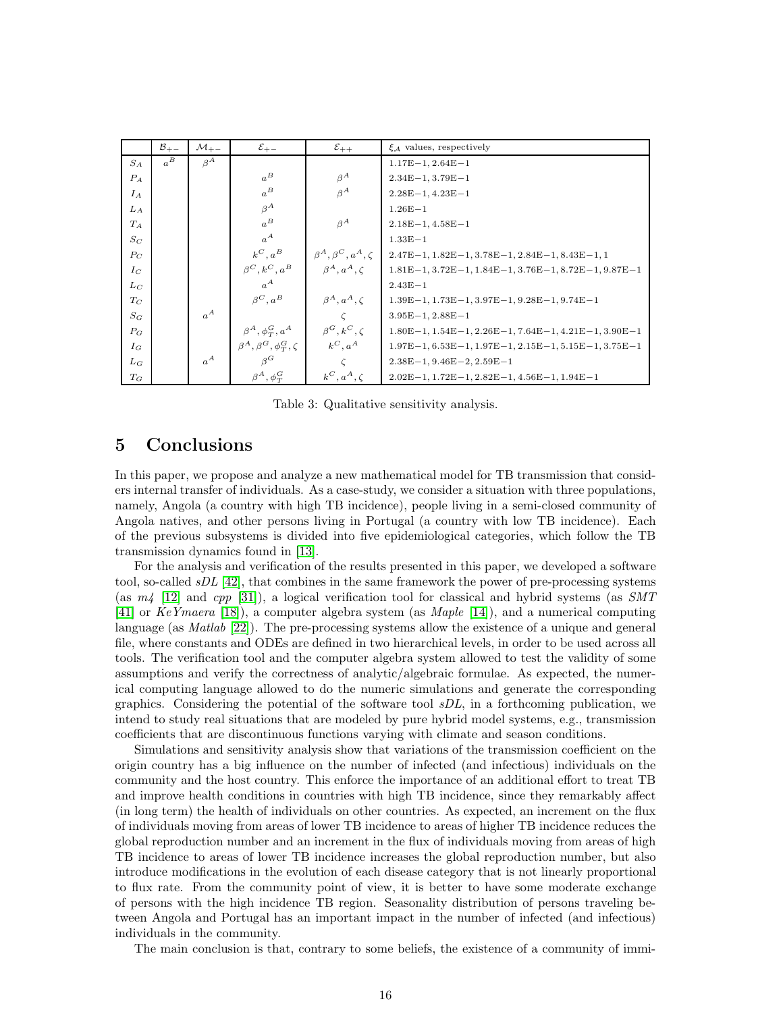<span id="page-15-1"></span>

|       | $\mathcal{B}_{+-}$ | $\mathcal{M}_{+-}$ | $\mathcal{E}_{+-}$                             | $\varepsilon_{++}$             | $\xi_A$ values, respectively                                          |
|-------|--------------------|--------------------|------------------------------------------------|--------------------------------|-----------------------------------------------------------------------|
| $S_A$ | $a^B$              | $\beta^A$          |                                                |                                | $1.17E-1$ , $2.64E-1$                                                 |
| $P_A$ |                    |                    | $a^B$                                          | $\beta^A$                      | $2.34E-1, 3.79E-1$                                                    |
| $I_A$ |                    |                    | $a^B$                                          | $\beta^A$                      | $2.28E-1, 4.23E-1$                                                    |
| $L_A$ |                    |                    | $\beta^A$                                      |                                | $1.26E - 1$                                                           |
| $T_A$ |                    |                    | $a^B$                                          | $A^A$                          | $2.18E - 1, 4.58E - 1$                                                |
| $S_C$ |                    |                    | $a^A$                                          |                                | $1.33E - 1$                                                           |
| $P_C$ |                    |                    | $k^C, a^B$                                     | $\beta^A, \beta^C, a^A, \zeta$ | $2.47E-1, 1.82E-1, 3.78E-1, 2.84E-1, 8.43E-1, 1$                      |
| $I_C$ |                    |                    | $\beta^C, k^C, a^B$                            | $\beta^A, a^A, c$              | $1.81E-1, 3.72E-1, 1.84E-1, 3.76E-1, 8.72E-1, 9.87E-1$                |
| $L_C$ |                    |                    | $a^A$                                          |                                | $2.43E - 1$                                                           |
| $T_C$ |                    |                    | $\beta^C, a^B$                                 | $\beta^A, a^A, \zeta$          | $1.39E-1$ , $1.73E-1$ , $3.97E-1$ , $9.28E-1$ , $9.74E-1$             |
| $S_G$ |                    | $a^A$              |                                                |                                | $3.95E-1, 2.88E-1$                                                    |
| $P_G$ |                    |                    | $\beta^A, \phi_T^G, a^A$ $\beta^G, k^C, \zeta$ |                                | $1.80E-1$ , $1.54E-1$ , $2.26E-1$ , $7.64E-1$ , $4.21E-1$ , $3.90E-1$ |
| $I_G$ |                    |                    | $\beta^A, \beta^G, \phi_T^G, \zeta$            | $k^C, a^A$                     | $1.97E-1, 6.53E-1, 1.97E-1, 2.15E-1, 5.15E-1, 3.75E-1$                |
| $L_G$ |                    | $a^A$              | $\beta^G$                                      |                                | $2.38E-1, 9.46E-2, 2.59E-1$                                           |
| $T_G$ |                    |                    | $\beta^A, \phi_T^G$                            | $k^C, a^A, \zeta$              | $2.02E-1$ , $1.72E-1$ , $2.82E-1$ , $4.56E-1$ , $1.94E-1$             |

Table 3: Qualitative sensitivity analysis.

## <span id="page-15-0"></span>5 Conclusions

In this paper, we propose and analyze a new mathematical model for TB transmission that considers internal transfer of individuals. As a case-study, we consider a situation with three populations, namely, Angola (a country with high TB incidence), people living in a semi-closed community of Angola natives, and other persons living in Portugal (a country with low TB incidence). Each of the previous subsystems is divided into five epidemiological categories, which follow the TB transmission dynamics found in [\[13\]](#page-16-10).

For the analysis and verification of the results presented in this paper, we developed a software tool, so-called  $sDL$  [\[42\]](#page-17-22), that combines in the same framework the power of pre-processing systems (as  $m/2$  [\[12\]](#page-16-12) and cpp [\[31\]](#page-17-23)), a logical verification tool for classical and hybrid systems (as SMT [\[41\]](#page-17-24) or KeYmaera [\[18\]](#page-17-25)), a computer algebra system (as Maple [\[14\]](#page-16-13)), and a numerical computing language (as *Matlab* [\[22\]](#page-17-26)). The pre-processing systems allow the existence of a unique and general file, where constants and ODEs are defined in two hierarchical levels, in order to be used across all tools. The verification tool and the computer algebra system allowed to test the validity of some assumptions and verify the correctness of analytic/algebraic formulae. As expected, the numerical computing language allowed to do the numeric simulations and generate the corresponding graphics. Considering the potential of the software tool  $sDL$ , in a forthcoming publication, we intend to study real situations that are modeled by pure hybrid model systems, e.g., transmission coefficients that are discontinuous functions varying with climate and season conditions.

Simulations and sensitivity analysis show that variations of the transmission coefficient on the origin country has a big influence on the number of infected (and infectious) individuals on the community and the host country. This enforce the importance of an additional effort to treat TB and improve health conditions in countries with high TB incidence, since they remarkably affect (in long term) the health of individuals on other countries. As expected, an increment on the flux of individuals moving from areas of lower TB incidence to areas of higher TB incidence reduces the global reproduction number and an increment in the flux of individuals moving from areas of high TB incidence to areas of lower TB incidence increases the global reproduction number, but also introduce modifications in the evolution of each disease category that is not linearly proportional to flux rate. From the community point of view, it is better to have some moderate exchange of persons with the high incidence TB region. Seasonality distribution of persons traveling between Angola and Portugal has an important impact in the number of infected (and infectious) individuals in the community.

The main conclusion is that, contrary to some beliefs, the existence of a community of immi-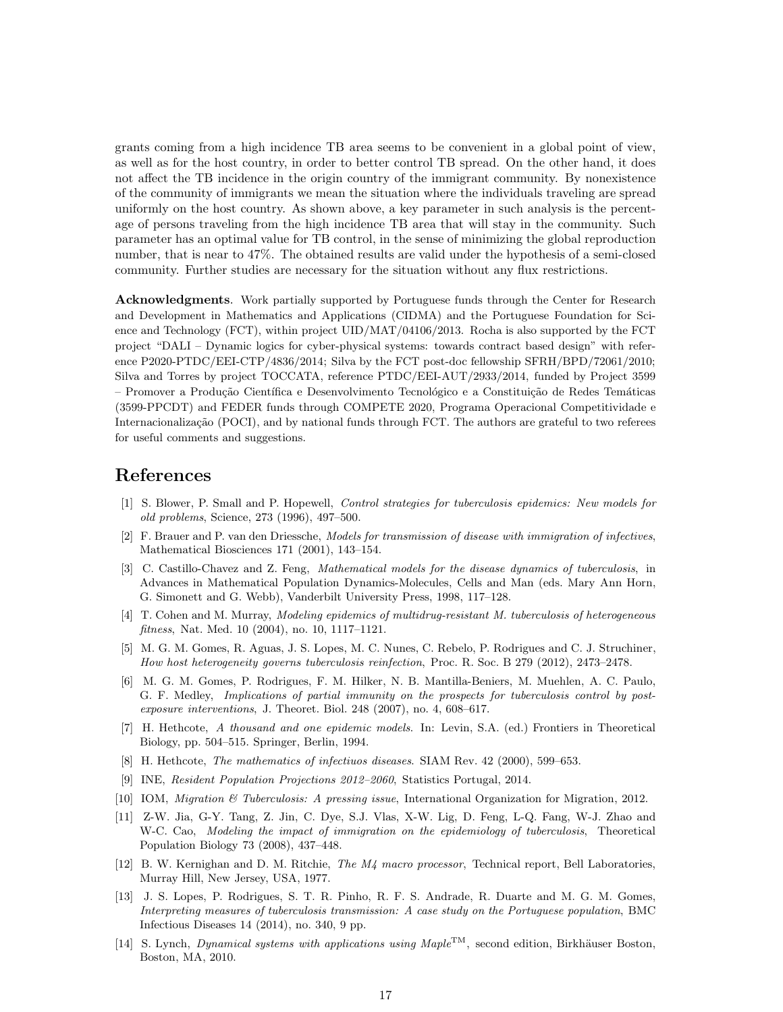grants coming from a high incidence TB area seems to be convenient in a global point of view, as well as for the host country, in order to better control TB spread. On the other hand, it does not affect the TB incidence in the origin country of the immigrant community. By nonexistence of the community of immigrants we mean the situation where the individuals traveling are spread uniformly on the host country. As shown above, a key parameter in such analysis is the percentage of persons traveling from the high incidence TB area that will stay in the community. Such parameter has an optimal value for TB control, in the sense of minimizing the global reproduction number, that is near to 47%. The obtained results are valid under the hypothesis of a semi-closed community. Further studies are necessary for the situation without any flux restrictions.

Acknowledgments. Work partially supported by Portuguese funds through the Center for Research and Development in Mathematics and Applications (CIDMA) and the Portuguese Foundation for Science and Technology (FCT), within project UID/MAT/04106/2013. Rocha is also supported by the FCT project "DALI – Dynamic logics for cyber-physical systems: towards contract based design" with reference P2020-PTDC/EEI-CTP/4836/2014; Silva by the FCT post-doc fellowship SFRH/BPD/72061/2010; Silva and Torres by project TOCCATA, reference PTDC/EEI-AUT/2933/2014, funded by Project 3599 – Promover a Produ¸c˜ao Cient´ıfica e Desenvolvimento Tecnol´ogico e a Constitui¸c˜ao de Redes Tem´aticas (3599-PPCDT) and FEDER funds through COMPETE 2020, Programa Operacional Competitividade e Internacionalização (POCI), and by national funds through FCT. The authors are grateful to two referees for useful comments and suggestions.

## <span id="page-16-3"></span>References

- [1] S. Blower, P. Small and P. Hopewell, Control strategies for tuberculosis epidemics: New models for old problems, Science, 273 (1996), 497–500.
- <span id="page-16-7"></span>[2] F. Brauer and P. van den Driessche, Models for transmission of disease with immigration of infectives, Mathematical Biosciences 171 (2001), 143–154.
- <span id="page-16-4"></span>[3] C. Castillo-Chavez and Z. Feng, Mathematical models for the disease dynamics of tuberculosis, in Advances in Mathematical Population Dynamics-Molecules, Cells and Man (eds. Mary Ann Horn, G. Simonett and G. Webb), Vanderbilt University Press, 1998, 117–128.
- <span id="page-16-5"></span>[4] T. Cohen and M. Murray, Modeling epidemics of multidrug-resistant M. tuberculosis of heterogeneous fitness, Nat. Med. 10 (2004), no. 10, 1117–1121.
- <span id="page-16-11"></span>[5] M. G. M. Gomes, R. Aguas, J. S. Lopes, M. C. Nunes, C. Rebelo, P. Rodrigues and C. J. Struchiner, How host heterogeneity governs tuberculosis reinfection, Proc. R. Soc. B 279 (2012), 2473–2478.
- <span id="page-16-6"></span>[6] M. G. M. Gomes, P. Rodrigues, F. M. Hilker, N. B. Mantilla-Beniers, M. Muehlen, A. C. Paulo, G. F. Medley, Implications of partial immunity on the prospects for tuberculosis control by postexposure interventions, J. Theoret. Biol. 248 (2007), no. 4, 608–617.
- <span id="page-16-1"></span>[7] H. Hethcote, A thousand and one epidemic models. In: Levin, S.A. (ed.) Frontiers in Theoretical Biology, pp. 504–515. Springer, Berlin, 1994.
- <span id="page-16-9"></span><span id="page-16-2"></span>[8] H. Hethcote, *The mathematics of infectiuos diseases*. SIAM Rev. 42 (2000), 599–653.
- <span id="page-16-0"></span>[9] INE, Resident Population Projections 2012–2060, Statistics Portugal, 2014.
- <span id="page-16-8"></span>[10] IOM, Migration & Tuberculosis: A pressing issue, International Organization for Migration, 2012.
- [11] Z-W. Jia, G-Y. Tang, Z. Jin, C. Dye, S.J. Vlas, X-W. Lig, D. Feng, L-Q. Fang, W-J. Zhao and W-C. Cao, Modeling the impact of immigration on the epidemiology of tuberculosis, Theoretical Population Biology 73 (2008), 437–448.
- <span id="page-16-12"></span>[12] B. W. Kernighan and D. M. Ritchie, The M4 macro processor, Technical report, Bell Laboratories, Murray Hill, New Jersey, USA, 1977.
- <span id="page-16-10"></span>[13] J. S. Lopes, P. Rodrigues, S. T. R. Pinho, R. F. S. Andrade, R. Duarte and M. G. M. Gomes, Interpreting measures of tuberculosis transmission: A case study on the Portuguese population, BMC Infectious Diseases 14 (2014), no. 340, 9 pp.
- <span id="page-16-13"></span>[14] S. Lynch, *Dynamical systems with applications using Maple*<sup>TM</sup>, second edition, Birkhäuser Boston, Boston, MA, 2010.